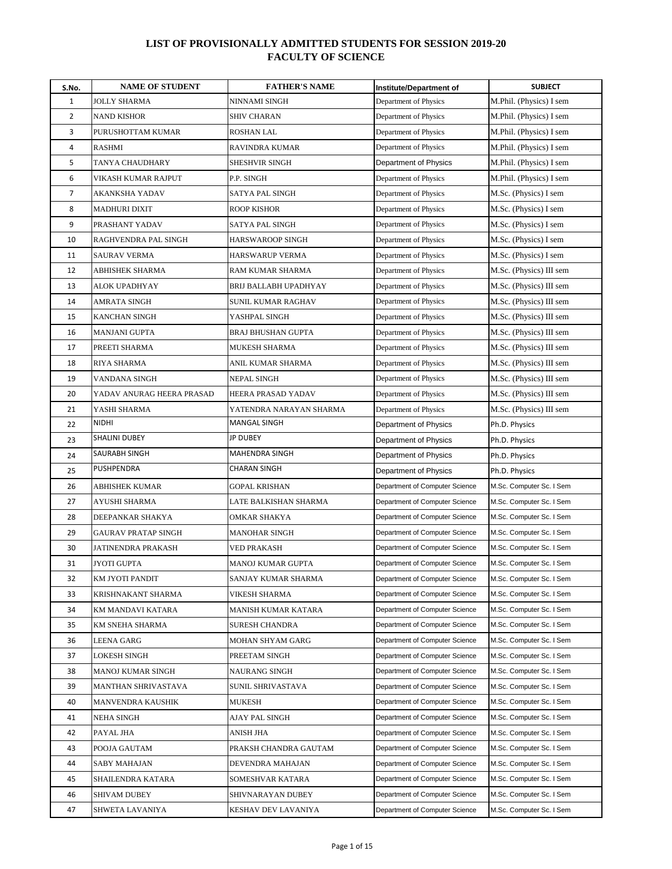| S.No.          | <b>NAME OF STUDENT</b>     | <b>FATHER'S NAME</b>    | Institute/Department of        | <b>SUBJECT</b>           |
|----------------|----------------------------|-------------------------|--------------------------------|--------------------------|
| 1              | <b>JOLLY SHARMA</b>        | NINNAMI SINGH           | Department of Physics          | M.Phil. (Physics) I sem  |
| $\overline{2}$ | <b>NAND KISHOR</b>         | <b>SHIV CHARAN</b>      | Department of Physics          | M.Phil. (Physics) I sem  |
| 3              | PURUSHOTTAM KUMAR          | ROSHAN LAL              | Department of Physics          | M.Phil. (Physics) I sem  |
| 4              | <b>RASHMI</b>              | RAVINDRA KUMAR          | Department of Physics          | M.Phil. (Physics) I sem  |
| 5              | TANYA CHAUDHARY            | SHESHVIR SINGH          | Department of Physics          | M.Phil. (Physics) I sem  |
| 6              | VIKASH KUMAR RAJPUT        | P.P. SINGH              | Department of Physics          | M.Phil. (Physics) I sem  |
| 7              | AKANKSHA YADAV             | SATYA PAL SINGH         | Department of Physics          | M.Sc. (Physics) I sem    |
| 8              | <b>MADHURI DIXIT</b>       | ROOP KISHOR             | Department of Physics          | M.Sc. (Physics) I sem    |
| 9              | PRASHANT YADAV             | SATYA PAL SINGH         | Department of Physics          | M.Sc. (Physics) I sem    |
| 10             | RAGHVENDRA PAL SINGH       | HARSWAROOP SINGH        | Department of Physics          | M.Sc. (Physics) I sem    |
| 11             | SAURAV VERMA               | HARSWARUP VERMA         | Department of Physics          | M.Sc. (Physics) I sem    |
| 12             | ABHISHEK SHARMA            | RAM KUMAR SHARMA        | Department of Physics          | M.Sc. (Physics) III sem  |
| 13             | ALOK UPADHYAY              | BRIJ BALLABH UPADHYAY   | Department of Physics          | M.Sc. (Physics) III sem  |
| 14             | AMRATA SINGH               | SUNIL KUMAR RAGHAV      | Department of Physics          | M.Sc. (Physics) III sem  |
| 15             | KANCHAN SINGH              | YASHPAL SINGH           | Department of Physics          | M.Sc. (Physics) III sem  |
| 16             | MANJANI GUPTA              | BRAJ BHUSHAN GUPTA      | Department of Physics          | M.Sc. (Physics) III sem  |
| 17             | PREETI SHARMA              | MUKESH SHARMA           | Department of Physics          | M.Sc. (Physics) III sem  |
| 18             | RIYA SHARMA                | ANIL KUMAR SHARMA       | Department of Physics          | M.Sc. (Physics) III sem  |
| 19             | VANDANA SINGH              | NEPAL SINGH             | Department of Physics          | M.Sc. (Physics) III sem  |
| 20             | YADAV ANURAG HEERA PRASAD  | HEERA PRASAD YADAV      | Department of Physics          | M.Sc. (Physics) III sem  |
| 21             | YASHI SHARMA               | YATENDRA NARAYAN SHARMA | Department of Physics          | M.Sc. (Physics) III sem  |
| 22             | NIDHI                      | MANGAL SINGH            | Department of Physics          | Ph.D. Physics            |
| 23             | <b>SHALINI DUBEY</b>       | <b>JP DUBEY</b>         | Department of Physics          | Ph.D. Physics            |
| 24             | SAURABH SINGH              | MAHENDRA SINGH          | Department of Physics          | Ph.D. Physics            |
| 25             | PUSHPENDRA                 | CHARAN SINGH            | Department of Physics          | Ph.D. Physics            |
| 26             | ABHISHEK KUMAR             | GOPAL KRISHAN           | Department of Computer Science | M.Sc. Computer Sc. I Sem |
| 27             | AYUSHI SHARMA              | LATE BALKISHAN SHARMA   | Department of Computer Science | M.Sc. Computer Sc. I Sem |
| 28             | DEEPANKAR SHAKYA           | OMKAR SHAKYA            | Department of Computer Science | M.Sc. Computer Sc. I Sem |
| 29             | <b>GAURAV PRATAP SINGH</b> | MANOHAR SINGH           | Department of Computer Science | M.Sc. Computer Sc. I Sem |
| 30             | JATINENDRA PRAKASH         | VED PRAKASH             | Department of Computer Science | M.Sc. Computer Sc. I Sem |
| 31             | JYOTI GUPTA                | MANOJ KUMAR GUPTA       | Department of Computer Science | M.Sc. Computer Sc. I Sem |
| 32             | KM JYOTI PANDIT            | SANJAY KUMAR SHARMA     | Department of Computer Science | M.Sc. Computer Sc. I Sem |
| 33             | KRISHNAKANT SHARMA         | VIKESH SHARMA           | Department of Computer Science | M.Sc. Computer Sc. I Sem |
| 34             | KM MANDAVI KATARA          | MANISH KUMAR KATARA     | Department of Computer Science | M.Sc. Computer Sc. I Sem |
| 35             | KM SNEHA SHARMA            | <b>SURESH CHANDRA</b>   | Department of Computer Science | M.Sc. Computer Sc. I Sem |
| 36             | LEENA GARG                 | MOHAN SHYAM GARG        | Department of Computer Science | M.Sc. Computer Sc. I Sem |
| 37             | LOKESH SINGH               | PREETAM SINGH           | Department of Computer Science | M.Sc. Computer Sc. I Sem |
| 38             | MANOJ KUMAR SINGH          | NAURANG SINGH           | Department of Computer Science | M.Sc. Computer Sc. I Sem |
| 39             | MANTHAN SHRIVASTAVA        | SUNIL SHRIVASTAVA       | Department of Computer Science | M.Sc. Computer Sc. I Sem |
| 40             | MANVENDRA KAUSHIK          | <b>MUKESH</b>           | Department of Computer Science | M.Sc. Computer Sc. I Sem |
| 41             | <b>NEHA SINGH</b>          | AJAY PAL SINGH          | Department of Computer Science | M.Sc. Computer Sc. I Sem |
| 42             | PAYAL JHA                  | ANISH JHA               | Department of Computer Science | M.Sc. Computer Sc. I Sem |
| 43             | POOJA GAUTAM               | PRAKSH CHANDRA GAUTAM   | Department of Computer Science | M.Sc. Computer Sc. I Sem |
| 44             | SABY MAHAJAN               | DEVENDRA MAHAJAN        | Department of Computer Science | M.Sc. Computer Sc. I Sem |
| 45             | SHAILENDRA KATARA          | SOMESHVAR KATARA        | Department of Computer Science | M.Sc. Computer Sc. I Sem |
| 46             | SHIVAM DUBEY               | SHIVNARAYAN DUBEY       | Department of Computer Science | M.Sc. Computer Sc. I Sem |
| 47             | SHWETA LAVANIYA            | KESHAV DEV LAVANIYA     | Department of Computer Science | M.Sc. Computer Sc. I Sem |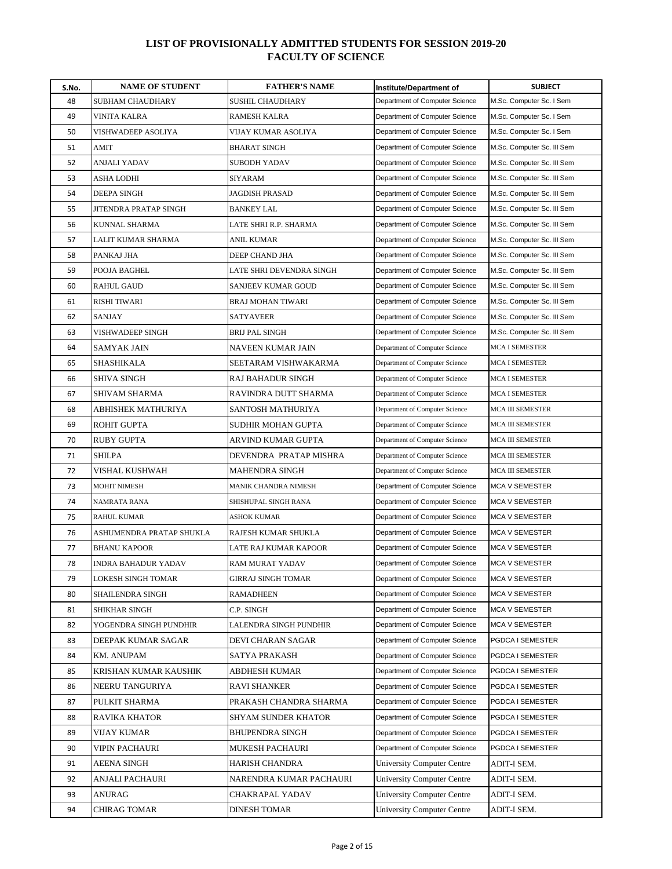| S.No. | <b>NAME OF STUDENT</b>   | <b>FATHER'S NAME</b>      | Institute/Department of           | <b>SUBJECT</b>             |
|-------|--------------------------|---------------------------|-----------------------------------|----------------------------|
| 48    | SUBHAM CHAUDHARY         | SUSHIL CHAUDHARY          | Department of Computer Science    | M.Sc. Computer Sc. I Sem   |
| 49    | <b>VINITA KALRA</b>      | <b>RAMESH KALRA</b>       | Department of Computer Science    | M.Sc. Computer Sc. I Sem   |
| 50    | VISHWADEEP ASOLIYA       | VIJAY KUMAR ASOLIYA       | Department of Computer Science    | M.Sc. Computer Sc. I Sem   |
| 51    | AMIT                     | <b>BHARAT SINGH</b>       | Department of Computer Science    | M.Sc. Computer Sc. III Sem |
| 52    | ANJALI YADAV             | SUBODH YADAV              | Department of Computer Science    | M.Sc. Computer Sc. III Sem |
| 53    | ASHA LODHI               | SIYARAM                   | Department of Computer Science    | M.Sc. Computer Sc. III Sem |
| 54    | DEEPA SINGH              | <b>JAGDISH PRASAD</b>     | Department of Computer Science    | M.Sc. Computer Sc. III Sem |
| 55    | JITENDRA PRATAP SINGH    | <b>BANKEY LAL</b>         | Department of Computer Science    | M.Sc. Computer Sc. III Sem |
| 56    | KUNNAL SHARMA            | LATE SHRI R.P. SHARMA     | Department of Computer Science    | M.Sc. Computer Sc. III Sem |
| 57    | LALIT KUMAR SHARMA       | ANIL KUMAR                | Department of Computer Science    | M.Sc. Computer Sc. III Sem |
| 58    | PANKAJ JHA               | DEEP CHAND JHA            | Department of Computer Science    | M.Sc. Computer Sc. III Sem |
| 59    | POOJA BAGHEL             | LATE SHRI DEVENDRA SINGH  | Department of Computer Science    | M.Sc. Computer Sc. III Sem |
| 60    | <b>RAHUL GAUD</b>        | SANJEEV KUMAR GOUD        | Department of Computer Science    | M.Sc. Computer Sc. III Sem |
| 61    | RISHI TIWARI             | BRAJ MOHAN TIWARI         | Department of Computer Science    | M.Sc. Computer Sc. III Sem |
| 62    | <b>SANJAY</b>            | <b>SATYAVEER</b>          | Department of Computer Science    | M.Sc. Computer Sc. III Sem |
| 63    | VISHWADEEP SINGH         | BRIJ PAL SINGH            | Department of Computer Science    | M.Sc. Computer Sc. III Sem |
| 64    | SAMYAK JAIN              | NAVEEN KUMAR JAIN         | Department of Computer Science    | MCA I SEMESTER             |
| 65    | SHASHIKALA               | SEETARAM VISHWAKARMA      | Department of Computer Science    | <b>MCA I SEMESTER</b>      |
| 66    | SHIVA SINGH              | RAJ BAHADUR SINGH         | Department of Computer Science    | MCA I SEMESTER             |
| 67    | SHIVAM SHARMA            | RAVINDRA DUTT SHARMA      | Department of Computer Science    | <b>MCA I SEMESTER</b>      |
| 68    | ABHISHEK MATHURIYA       | SANTOSH MATHURIYA         | Department of Computer Science    | MCA III SEMESTER           |
| 69    | ROHIT GUPTA              | SUDHIR MOHAN GUPTA        | Department of Computer Science    | MCA III SEMESTER           |
| 70    | RUBY GUPTA               | ARVIND KUMAR GUPTA        | Department of Computer Science    | MCA III SEMESTER           |
| 71    | SHILPA                   | DEVENDRA PRATAP MISHRA    | Department of Computer Science    | MCA III SEMESTER           |
| 72    | VISHAL KUSHWAH           | MAHENDRA SINGH            | Department of Computer Science    | MCA III SEMESTER           |
| 73    | MOHIT NIMESH             | MANIK CHANDRA NIMESH      | Department of Computer Science    | <b>MCA V SEMESTER</b>      |
| 74    | NAMRATA RANA             | SHISHUPAL SINGH RANA      | Department of Computer Science    | <b>MCA V SEMESTER</b>      |
| 75    | <b>RAHUL KUMAR</b>       | <b>ASHOK KUMAR</b>        | Department of Computer Science    | <b>MCA V SEMESTER</b>      |
| 76    | ASHUMENDRA PRATAP SHUKLA | RAJESH KUMAR SHUKLA       | Department of Computer Science    | <b>MCA V SEMESTER</b>      |
| 77    | BHANU KAPOOR             | LATE RAJ KUMAR KAPOOR     | Department of Computer Science    | <b>MCA V SEMESTER</b>      |
| 78    | INDRA BAHADUR YADAV      | RAM MURAT YADAV           | Department of Computer Science    | <b>MCA V SEMESTER</b>      |
| 79    | LOKESH SINGH TOMAR       | <b>GIRRAJ SINGH TOMAR</b> | Department of Computer Science    | <b>MCA V SEMESTER</b>      |
| 80    | SHAILENDRA SINGH         | RAMADHEEN                 | Department of Computer Science    | MCA V SEMESTER             |
| 81    | SHIKHAR SINGH            | C.P. SINGH                | Department of Computer Science    | MCA V SEMESTER             |
| 82    | YOGENDRA SINGH PUNDHIR   | LALENDRA SINGH PUNDHIR    | Department of Computer Science    | MCA V SEMESTER             |
| 83    | DEEPAK KUMAR SAGAR       | DEVI CHARAN SAGAR         | Department of Computer Science    | PGDCA I SEMESTER           |
| 84    | KM. ANUPAM               | SATYA PRAKASH             | Department of Computer Science    | PGDCA I SEMESTER           |
| 85    | KRISHAN KUMAR KAUSHIK    | ABDHESH KUMAR             | Department of Computer Science    | PGDCA I SEMESTER           |
| 86    | NEERU TANGURIYA          | RAVI SHANKER              | Department of Computer Science    | PGDCA I SEMESTER           |
| 87    | PULKIT SHARMA            | PRAKASH CHANDRA SHARMA    | Department of Computer Science    | PGDCA I SEMESTER           |
| 88    | RAVIKA KHATOR            | SHYAM SUNDER KHATOR       | Department of Computer Science    | PGDCA I SEMESTER           |
| 89    | VIJAY KUMAR              | BHUPENDRA SINGH           | Department of Computer Science    | PGDCA I SEMESTER           |
| 90    | VIPIN PACHAURI           | MUKESH PACHAURI           | Department of Computer Science    | PGDCA I SEMESTER           |
| 91    | AEENA SINGH              | HARISH CHANDRA            | University Computer Centre        | ADIT-I SEM.                |
| 92    | ANJALI PACHAURI          | NARENDRA KUMAR PACHAURI   | <b>University Computer Centre</b> | ADIT-I SEM.                |
| 93    | ANURAG                   | CHAKRAPAL YADAV           | <b>University Computer Centre</b> | ADIT-I SEM.                |
| 94    | CHIRAG TOMAR             | DINESH TOMAR              | <b>University Computer Centre</b> | ADIT-I SEM.                |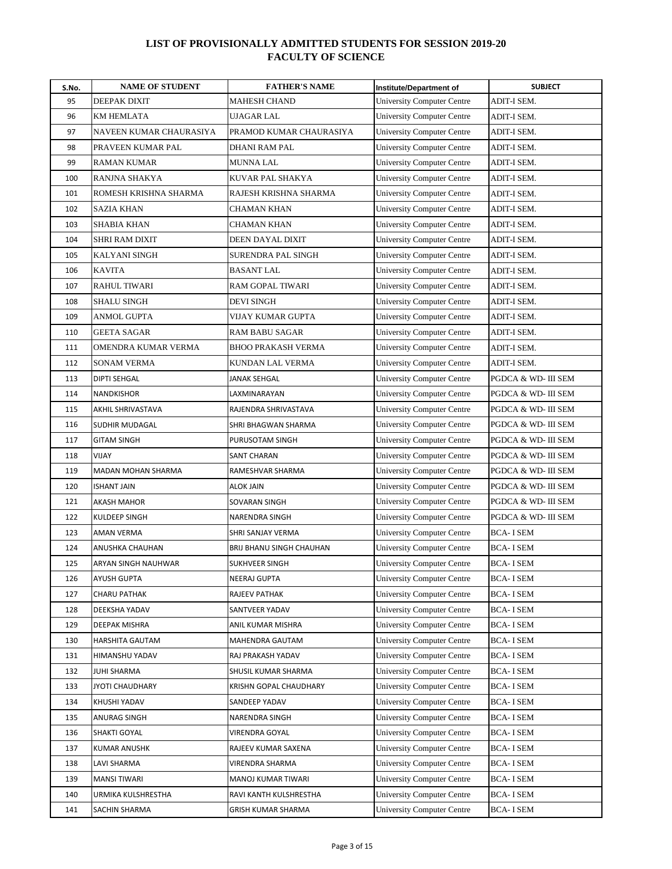| S.No. | <b>NAME OF STUDENT</b>  | <b>FATHER'S NAME</b>      | Institute/Department of           | <b>SUBJECT</b>      |
|-------|-------------------------|---------------------------|-----------------------------------|---------------------|
| 95    | <b>DEEPAK DIXIT</b>     | <b>MAHESH CHAND</b>       | <b>University Computer Centre</b> | ADIT-I SEM.         |
| 96    | <b>KM HEMLATA</b>       | <b>UJAGAR LAL</b>         | <b>University Computer Centre</b> | ADIT-I SEM.         |
| 97    | NAVEEN KUMAR CHAURASIYA | PRAMOD KUMAR CHAURASIYA   | <b>University Computer Centre</b> | ADIT-I SEM.         |
| 98    | PRAVEEN KUMAR PAL       | DHANI RAM PAL             | <b>University Computer Centre</b> | ADIT-I SEM.         |
| 99    | <b>RAMAN KUMAR</b>      | MUNNA LAL                 | <b>University Computer Centre</b> | ADIT-I SEM.         |
| 100   | RANJNA SHAKYA           | KUVAR PAL SHAKYA          | <b>University Computer Centre</b> | ADIT-I SEM.         |
| 101   | ROMESH KRISHNA SHARMA   | RAJESH KRISHNA SHARMA     | <b>University Computer Centre</b> | ADIT-I SEM.         |
| 102   | <b>SAZIA KHAN</b>       | CHAMAN KHAN               | University Computer Centre        | ADIT-I SEM.         |
| 103   | SHABIA KHAN             | CHAMAN KHAN               | <b>University Computer Centre</b> | ADIT-I SEM.         |
| 104   | <b>SHRI RAM DIXIT</b>   | DEEN DAYAL DIXIT          | <b>University Computer Centre</b> | ADIT-I SEM.         |
| 105   | <b>KALYANI SINGH</b>    | SURENDRA PAL SINGH        | <b>University Computer Centre</b> | ADIT-I SEM.         |
| 106   | <b>KAVITA</b>           | BASANT LAL                | <b>University Computer Centre</b> | ADIT-I SEM.         |
| 107   | <b>RAHUL TIWARI</b>     | RAM GOPAL TIWARI          | <b>University Computer Centre</b> | ADIT-I SEM.         |
| 108   | <b>SHALU SINGH</b>      | DEVI SINGH                | <b>University Computer Centre</b> | ADIT-I SEM.         |
| 109   | ANMOL GUPTA             | VIJAY KUMAR GUPTA         | <b>University Computer Centre</b> | ADIT-I SEM.         |
| 110   | <b>GEETA SAGAR</b>      | RAM BABU SAGAR            | <b>University Computer Centre</b> | ADIT-I SEM.         |
| 111   | OMENDRA KUMAR VERMA     | <b>BHOO PRAKASH VERMA</b> | <b>University Computer Centre</b> | ADIT-I SEM.         |
| 112   | <b>SONAM VERMA</b>      | KUNDAN LAL VERMA          | University Computer Centre        | ADIT-I SEM.         |
| 113   | <b>DIPTI SEHGAL</b>     | JANAK SEHGAL              | <b>University Computer Centre</b> | PGDCA & WD- III SEM |
| 114   | NANDKISHOR              | LAXMINARAYAN              | <b>University Computer Centre</b> | PGDCA & WD- III SEM |
| 115   | AKHIL SHRIVASTAVA       | RAJENDRA SHRIVASTAVA      | University Computer Centre        | PGDCA & WD- III SEM |
| 116   | SUDHIR MUDAGAL          | SHRI BHAGWAN SHARMA       | <b>University Computer Centre</b> | PGDCA & WD- III SEM |
| 117   | GITAM SINGH             | PURUSOTAM SINGH           | <b>University Computer Centre</b> | PGDCA & WD- III SEM |
| 118   | <b>VIJAY</b>            | <b>SANT CHARAN</b>        | <b>University Computer Centre</b> | PGDCA & WD- III SEM |
| 119   | MADAN MOHAN SHARMA      | RAMESHVAR SHARMA          | <b>University Computer Centre</b> | PGDCA & WD- III SEM |
| 120   | ISHANT JAIN             | ALOK JAIN                 | <b>University Computer Centre</b> | PGDCA & WD- III SEM |
| 121   | AKASH MAHOR             | SOVARAN SINGH             | <b>University Computer Centre</b> | PGDCA & WD- III SEM |
| 122   | <b>KULDEEP SINGH</b>    | NARENDRA SINGH            | <b>University Computer Centre</b> | PGDCA & WD- III SEM |
| 123   | AMAN VERMA              | SHRI SANJAY VERMA         | <b>University Computer Centre</b> | <b>BCA-I SEM</b>    |
| 124   | ANUSHKA CHAUHAN         | BRIJ BHANU SINGH CHAUHAN  | <b>University Computer Centre</b> | BCA- I SEM          |
| 125   | ARYAN SINGH NAUHWAR     | <b>SUKHVEER SINGH</b>     | <b>University Computer Centre</b> | BCA- I SEM          |
| 126   | <b>AYUSH GUPTA</b>      | NEERAJ GUPTA              | <b>University Computer Centre</b> | <b>BCA-I SEM</b>    |
| 127   | CHARU PATHAK            | RAJEEV PATHAK             | University Computer Centre        | BCA- I SEM          |
| 128   | DEEKSHA YADAV           | SANTVEER YADAV            | <b>University Computer Centre</b> | BCA- I SEM          |
| 129   | DEEPAK MISHRA           | ANIL KUMAR MISHRA         | <b>University Computer Centre</b> | BCA- I SEM          |
| 130   | HARSHITA GAUTAM         | MAHENDRA GAUTAM           | <b>University Computer Centre</b> | <b>BCA-I SEM</b>    |
| 131   | HIMANSHU YADAV          | RAJ PRAKASH YADAV         | <b>University Computer Centre</b> | <b>BCA-ISEM</b>     |
| 132   | JUHI SHARMA             | SHUSIL KUMAR SHARMA       | University Computer Centre        | BCA- I SEM          |
| 133   | <b>JYOTI CHAUDHARY</b>  | KRISHN GOPAL CHAUDHARY    | University Computer Centre        | BCA- I SEM          |
| 134   | KHUSHI YADAV            | SANDEEP YADAV             | <b>University Computer Centre</b> | <b>BCA-I SEM</b>    |
| 135   | ANURAG SINGH            | NARENDRA SINGH            | University Computer Centre        | BCA- I SEM          |
| 136   | SHAKTI GOYAL            | VIRENDRA GOYAL            | <b>University Computer Centre</b> | BCA- I SEM          |
| 137   | KUMAR ANUSHK            | RAJEEV KUMAR SAXENA       | <b>University Computer Centre</b> | BCA- I SEM          |
| 138   | LAVI SHARMA             | VIRENDRA SHARMA           | University Computer Centre        | BCA- I SEM          |
| 139   | <b>MANSI TIWARI</b>     | MANOJ KUMAR TIWARI        | <b>University Computer Centre</b> | BCA- I SEM          |
| 140   | URMIKA KULSHRESTHA      | RAVI KANTH KULSHRESTHA    | <b>University Computer Centre</b> | BCA- I SEM          |
| 141   | SACHIN SHARMA           | GRISH KUMAR SHARMA        | University Computer Centre        | BCA- I SEM          |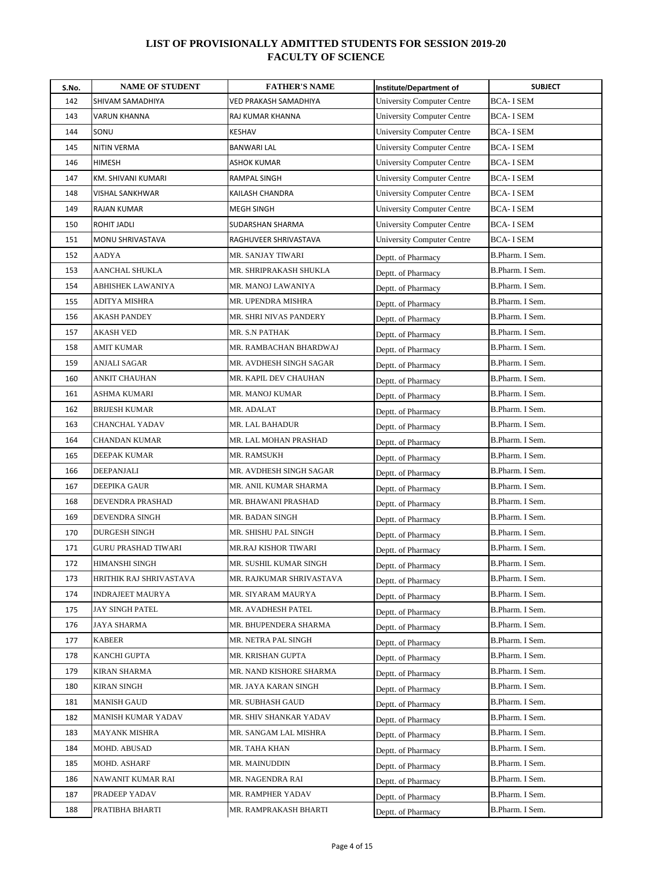| S.No. | <b>NAME OF STUDENT</b>  | <b>FATHER'S NAME</b>     | Institute/Department of           | <b>SUBJECT</b>   |
|-------|-------------------------|--------------------------|-----------------------------------|------------------|
| 142   | SHIVAM SAMADHIYA        | VED PRAKASH SAMADHIYA    | <b>University Computer Centre</b> | <b>BCA-I SEM</b> |
| 143   | VARUN KHANNA            | RAJ KUMAR KHANNA         | <b>University Computer Centre</b> | <b>BCA-I SEM</b> |
| 144   | SONU                    | KESHAV                   | <b>University Computer Centre</b> | <b>BCA-I SEM</b> |
| 145   | <b>NITIN VERMA</b>      | <b>BANWARI LAL</b>       | <b>University Computer Centre</b> | <b>BCA-I SEM</b> |
| 146   | <b>HIMESH</b>           | ASHOK KUMAR              | <b>University Computer Centre</b> | <b>BCA-I SEM</b> |
| 147   | KM. SHIVANI KUMARI      | RAMPAL SINGH             | University Computer Centre        | <b>BCA-I SEM</b> |
| 148   | VISHAL SANKHWAR         | KAILASH CHANDRA          | <b>University Computer Centre</b> | <b>BCA-I SEM</b> |
| 149   | <b>RAJAN KUMAR</b>      | <b>MEGH SINGH</b>        | <b>University Computer Centre</b> | <b>BCA-I SEM</b> |
| 150   | ROHIT JADLI             | SUDARSHAN SHARMA         | <b>University Computer Centre</b> | BCA- I SEM       |
| 151   | MONU SHRIVASTAVA        | RAGHUVEER SHRIVASTAVA    | <b>University Computer Centre</b> | <b>BCA-I SEM</b> |
| 152   | AADYA                   | MR. SANJAY TIWARI        | Deptt. of Pharmacy                | B.Pharm. I Sem.  |
| 153   | AANCHAL SHUKLA          | MR. SHRIPRAKASH SHUKLA   | Deptt. of Pharmacy                | B.Pharm. I Sem.  |
| 154   | ABHISHEK LAWANIYA       | MR. MANOJ LAWANIYA       | Deptt. of Pharmacy                | B.Pharm. I Sem.  |
| 155   | ADITYA MISHRA           | MR. UPENDRA MISHRA       | Deptt. of Pharmacy                | B.Pharm. I Sem.  |
| 156   | AKASH PANDEY            | MR. SHRI NIVAS PANDERY   | Deptt. of Pharmacy                | B.Pharm. I Sem.  |
| 157   | AKASH VED               | MR. S.N PATHAK           | Deptt. of Pharmacy                | B.Pharm. I Sem.  |
| 158   | AMIT KUMAR              | MR. RAMBACHAN BHARDWAJ   | Deptt. of Pharmacy                | B.Pharm. I Sem.  |
| 159   | ANJALI SAGAR            | MR. AVDHESH SINGH SAGAR  | Deptt. of Pharmacy                | B.Pharm. I Sem.  |
| 160   | ANKIT CHAUHAN           | MR. KAPIL DEV CHAUHAN    | Deptt. of Pharmacy                | B.Pharm. I Sem.  |
| 161   | ASHMA KUMARI            | MR. MANOJ KUMAR          | Deptt. of Pharmacy                | B.Pharm. I Sem.  |
| 162   | BRIJESH KUMAR           | MR. ADALAT               | Deptt. of Pharmacy                | B.Pharm. I Sem.  |
| 163   | CHANCHAL YADAV          | MR. LAL BAHADUR          | Deptt. of Pharmacy                | B.Pharm. I Sem.  |
| 164   | CHANDAN KUMAR           | MR. LAL MOHAN PRASHAD    | Deptt. of Pharmacy                | B.Pharm. I Sem.  |
| 165   | DEEPAK KUMAR            | MR. RAMSUKH              | Deptt. of Pharmacy                | B.Pharm. I Sem.  |
| 166   | DEEPANJALI              | MR. AVDHESH SINGH SAGAR  | Deptt. of Pharmacy                | B.Pharm. I Sem.  |
| 167   | DEEPIKA GAUR            | MR. ANIL KUMAR SHARMA    | Deptt. of Pharmacy                | B.Pharm. I Sem.  |
| 168   | DEVENDRA PRASHAD        | MR. BHAWANI PRASHAD      | Deptt. of Pharmacy                | B.Pharm. I Sem.  |
| 169   | <b>DEVENDRA SINGH</b>   | MR. BADAN SINGH          | Deptt. of Pharmacy                | B.Pharm. I Sem.  |
| 170   | DURGESH SINGH           | MR. SHISHU PAL SINGH     | Deptt. of Pharmacy                | B.Pharm. I Sem.  |
| 171   | GURU PRASHAD TIWARI     | MR.RAJ KISHOR TIWARI     | Deptt. of Pharmacy                | B.Pharm. I Sem.  |
| 172   | HIMANSHI SINGH          | MR. SUSHIL KUMAR SINGH   | Deptt. of Pharmacy                | B.Pharm. I Sem.  |
| 173   | HRITHIK RAJ SHRIVASTAVA | MR. RAJKUMAR SHRIVASTAVA | Deptt. of Pharmacy                | B.Pharm. I Sem.  |
| 174   | INDRAJEET MAURYA        | MR. SIYARAM MAURYA       | Deptt. of Pharmacy                | B.Pharm. I Sem.  |
| 175   | JAY SINGH PATEL         | MR. AVADHESH PATEL       | Deptt. of Pharmacy                | B.Pharm. I Sem.  |
| 176   | JAYA SHARMA             | MR. BHUPENDERA SHARMA    | Deptt. of Pharmacy                | B.Pharm. I Sem.  |
| 177   | KABEER                  | MR. NETRA PAL SINGH      | Deptt. of Pharmacy                | B.Pharm. I Sem.  |
| 178   | KANCHI GUPTA            | MR. KRISHAN GUPTA        | Deptt. of Pharmacy                | B.Pharm. I Sem.  |
| 179   | KIRAN SHARMA            | MR. NAND KISHORE SHARMA  | Deptt. of Pharmacy                | B.Pharm. I Sem.  |
| 180   | KIRAN SINGH             | MR. JAYA KARAN SINGH     | Deptt. of Pharmacy                | B.Pharm. I Sem.  |
| 181   | <b>MANISH GAUD</b>      | MR. SUBHASH GAUD         | Deptt. of Pharmacy                | B.Pharm. I Sem.  |
| 182   | MANISH KUMAR YADAV      | MR. SHIV SHANKAR YADAV   | Deptt. of Pharmacy                | B.Pharm. I Sem.  |
| 183   | MAYANK MISHRA           | MR. SANGAM LAL MISHRA    | Deptt. of Pharmacy                | B.Pharm. I Sem.  |
| 184   | MOHD. ABUSAD            | MR. TAHA KHAN            | Deptt. of Pharmacy                | B.Pharm. I Sem.  |
| 185   | MOHD. ASHARF            | MR. MAINUDDIN            | Deptt. of Pharmacy                | B.Pharm. I Sem.  |
| 186   | NAWANIT KUMAR RAI       | MR. NAGENDRA RAI         | Deptt. of Pharmacy                | B.Pharm. I Sem.  |
| 187   | PRADEEP YADAV           | MR. RAMPHER YADAV        | Deptt. of Pharmacy                | B.Pharm. I Sem.  |
| 188   | PRATIBHA BHARTI         | MR. RAMPRAKASH BHARTI    | Deptt. of Pharmacy                | B.Pharm. I Sem.  |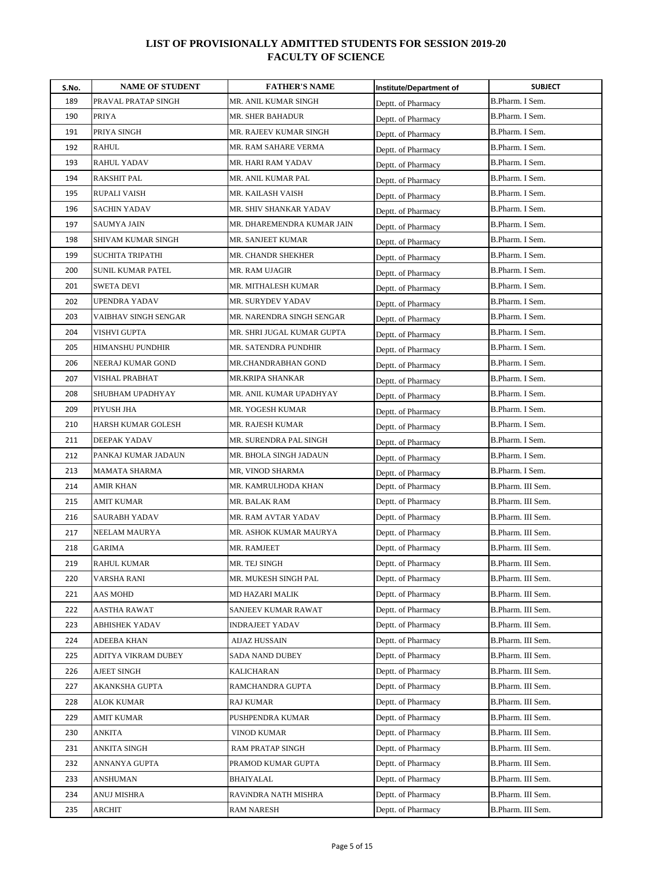| S.No. | <b>NAME OF STUDENT</b>  | <b>FATHER'S NAME</b>       | <b>Institute/Department of</b> | <b>SUBJECT</b>    |
|-------|-------------------------|----------------------------|--------------------------------|-------------------|
| 189   | PRAVAL PRATAP SINGH     | MR. ANIL KUMAR SINGH       | Deptt. of Pharmacy             | B.Pharm. I Sem.   |
| 190   | <b>PRIYA</b>            | MR. SHER BAHADUR           | Deptt. of Pharmacy             | B.Pharm. I Sem.   |
| 191   | PRIYA SINGH             | MR. RAJEEV KUMAR SINGH     | Deptt. of Pharmacy             | B.Pharm. I Sem.   |
| 192   | <b>RAHUL</b>            | MR. RAM SAHARE VERMA       | Deptt. of Pharmacy             | B.Pharm. I Sem.   |
| 193   | RAHUL YADAV             | MR. HARI RAM YADAV         | Deptt. of Pharmacy             | B.Pharm. I Sem.   |
| 194   | RAKSHIT PAL             | MR. ANIL KUMAR PAL         | Deptt. of Pharmacy             | B.Pharm. I Sem.   |
| 195   | RUPALI VAISH            | MR. KAILASH VAISH          | Deptt. of Pharmacy             | B.Pharm. I Sem.   |
| 196   | <b>SACHIN YADAV</b>     | MR. SHIV SHANKAR YADAV     | Deptt. of Pharmacy             | B.Pharm. I Sem.   |
| 197   | <b>SAUMYA JAIN</b>      | MR. DHAREMENDRA KUMAR JAIN | Deptt. of Pharmacy             | B.Pharm. I Sem.   |
| 198   | SHIVAM KUMAR SINGH      | MR. SANJEET KUMAR          | Deptt. of Pharmacy             | B.Pharm. I Sem.   |
| 199   | <b>SUCHITA TRIPATHI</b> | MR. CHANDR SHEKHER         | Deptt. of Pharmacy             | B.Pharm. I Sem.   |
| 200   | SUNIL KUMAR PATEL       | MR. RAM UJAGIR             | Deptt. of Pharmacy             | B.Pharm. I Sem.   |
| 201   | SWETA DEVI              | MR. MITHALESH KUMAR        | Deptt. of Pharmacy             | B.Pharm. I Sem.   |
| 202   | UPENDRA YADAV           | MR. SURYDEV YADAV          | Deptt. of Pharmacy             | B.Pharm. I Sem.   |
| 203   | VAIBHAV SINGH SENGAR    | MR. NARENDRA SINGH SENGAR  | Deptt. of Pharmacy             | B.Pharm. I Sem.   |
| 204   | VISHVI GUPTA            | MR. SHRI JUGAL KUMAR GUPTA | Deptt. of Pharmacy             | B.Pharm. I Sem.   |
| 205   | <b>HIMANSHU PUNDHIR</b> | MR. SATENDRA PUNDHIR       | Deptt. of Pharmacy             | B.Pharm. I Sem.   |
| 206   | NEERAJ KUMAR GOND       | MR.CHANDRABHAN GOND        | Deptt. of Pharmacy             | B.Pharm. I Sem.   |
| 207   | <b>VISHAL PRABHAT</b>   | MR.KRIPA SHANKAR           | Deptt. of Pharmacy             | B.Pharm. I Sem.   |
| 208   | SHUBHAM UPADHYAY        | MR. ANIL KUMAR UPADHYAY    | Deptt. of Pharmacy             | B.Pharm. I Sem.   |
| 209   | PIYUSH JHA              | MR. YOGESH KUMAR           | Deptt. of Pharmacy             | B.Pharm. I Sem.   |
| 210   | HARSH KUMAR GOLESH      | MR. RAJESH KUMAR           | Deptt. of Pharmacy             | B.Pharm. I Sem.   |
| 211   | <b>DEEPAK YADAV</b>     | MR. SURENDRA PAL SINGH     | Deptt. of Pharmacy             | B.Pharm. I Sem.   |
| 212   | PANKAJ KUMAR JADAUN     | MR. BHOLA SINGH JADAUN     | Deptt. of Pharmacy             | B.Pharm. I Sem.   |
| 213   | MAMATA SHARMA           | MR, VINOD SHARMA           | Deptt. of Pharmacy             | B.Pharm. I Sem.   |
| 214   | AMIR KHAN               | MR. KAMRULHODA KHAN        | Deptt. of Pharmacy             | B.Pharm. III Sem. |
| 215   | AMIT KUMAR              | MR. BALAK RAM              | Deptt. of Pharmacy             | B.Pharm. III Sem. |
| 216   | <b>SAURABH YADAV</b>    | MR. RAM AVTAR YADAV        | Deptt. of Pharmacy             | B.Pharm. III Sem. |
| 217   | <b>NEELAM MAURYA</b>    | MR. ASHOK KUMAR MAURYA     | Deptt. of Pharmacy             | B.Pharm. III Sem. |
| 218   | <b>GARIMA</b>           | MR. RAMJEET                | Deptt. of Pharmacy             | B.Pharm. III Sem. |
| 219   | <b>RAHUL KUMAR</b>      | MR. TEJ SINGH              | Deptt. of Pharmacy             | B.Pharm. III Sem. |
| 220   | <b>VARSHA RANI</b>      | MR. MUKESH SINGH PAL       | Deptt. of Pharmacy             | B.Pharm. III Sem. |
| 221   | AAS MOHD                | MD HAZARI MALIK            | Deptt. of Pharmacy             | B.Pharm. III Sem. |
| 222   | AASTHA RAWAT            | SANJEEV KUMAR RAWAT        | Deptt. of Pharmacy             | B.Pharm. III Sem. |
| 223   | ABHISHEK YADAV          | INDRAJEET YADAV            | Deptt. of Pharmacy             | B.Pharm. III Sem. |
| 224   | ADEEBA KHAN             | AIJAZ HUSSAIN              | Deptt. of Pharmacy             | B.Pharm. III Sem. |
| 225   | ADITYA VIKRAM DUBEY     | SADA NAND DUBEY            | Deptt. of Pharmacy             | B.Pharm. III Sem. |
| 226   | AJEET SINGH             | KALICHARAN                 | Deptt. of Pharmacy             | B.Pharm. III Sem. |
| 227   | AKANKSHA GUPTA          | RAMCHANDRA GUPTA           | Deptt. of Pharmacy             | B.Pharm. III Sem. |
| 228   | ALOK KUMAR              | <b>RAJ KUMAR</b>           | Deptt. of Pharmacy             | B.Pharm. III Sem. |
| 229   | AMIT KUMAR              | PUSHPENDRA KUMAR           | Deptt. of Pharmacy             | B.Pharm. III Sem. |
| 230   | ANKITA                  | <b>VINOD KUMAR</b>         | Deptt. of Pharmacy             | B.Pharm. III Sem. |
| 231   | ANKITA SINGH            | RAM PRATAP SINGH           | Deptt. of Pharmacy             | B.Pharm. III Sem. |
| 232   | ANNANYA GUPTA           | PRAMOD KUMAR GUPTA         | Deptt. of Pharmacy             | B.Pharm. III Sem. |
| 233   | ANSHUMAN                | BHAIYALAL                  | Deptt. of Pharmacy             | B.Pharm. III Sem. |
| 234   | ANUJ MISHRA             | RAVINDRA NATH MISHRA       | Deptt. of Pharmacy             | B.Pharm. III Sem. |
| 235   | ARCHIT                  | <b>RAM NARESH</b>          | Deptt. of Pharmacy             | B.Pharm. III Sem. |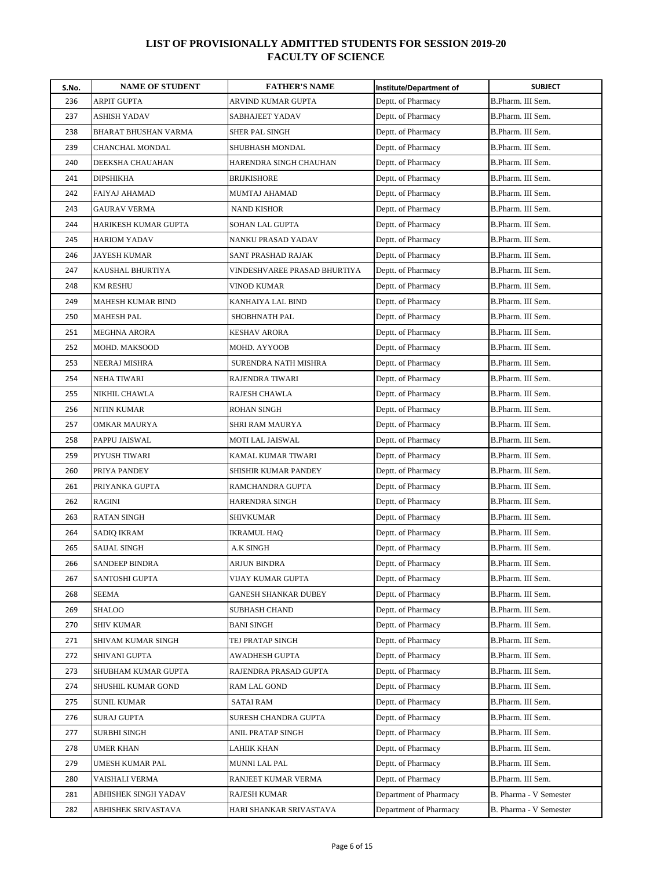| S.No. | <b>NAME OF STUDENT</b>   | <b>FATHER'S NAME</b>         | Institute/Department of | <b>SUBJECT</b>         |
|-------|--------------------------|------------------------------|-------------------------|------------------------|
| 236   | ARPIT GUPTA              | ARVIND KUMAR GUPTA           | Deptt. of Pharmacy      | B.Pharm. III Sem.      |
| 237   | <b>ASHISH YADAV</b>      | SABHAJEET YADAV              | Deptt. of Pharmacy      | B.Pharm. III Sem.      |
| 238   | BHARAT BHUSHAN VARMA     | <b>SHER PAL SINGH</b>        | Deptt. of Pharmacy      | B.Pharm. III Sem.      |
| 239   | CHANCHAL MONDAL          | <b>SHUBHASH MONDAL</b>       | Deptt. of Pharmacy      | B.Pharm. III Sem.      |
| 240   | DEEKSHA CHAUAHAN         | HARENDRA SINGH CHAUHAN       | Deptt. of Pharmacy      | B.Pharm. III Sem.      |
| 241   | <b>DIPSHIKHA</b>         | <b>BRIJKISHORE</b>           | Deptt. of Pharmacy      | B.Pharm. III Sem.      |
| 242   | FAIYAJ AHAMAD            | MUMTAJ AHAMAD                | Deptt. of Pharmacy      | B.Pharm. III Sem.      |
| 243   | <b>GAURAV VERMA</b>      | <b>NAND KISHOR</b>           | Deptt. of Pharmacy      | B.Pharm. III Sem.      |
| 244   | HARIKESH KUMAR GUPTA     | SOHAN LAL GUPTA              | Deptt. of Pharmacy      | B.Pharm. III Sem.      |
| 245   | <b>HARIOM YADAV</b>      | NANKU PRASAD YADAV           | Deptt. of Pharmacy      | B.Pharm. III Sem.      |
| 246   | <b>JAYESH KUMAR</b>      | SANT PRASHAD RAJAK           | Deptt. of Pharmacy      | B.Pharm. III Sem.      |
| 247   | KAUSHAL BHURTIYA         | VINDESHVAREE PRASAD BHURTIYA | Deptt. of Pharmacy      | B.Pharm. III Sem.      |
| 248   | <b>KM RESHU</b>          | VINOD KUMAR                  | Deptt. of Pharmacy      | B.Pharm. III Sem.      |
| 249   | <b>MAHESH KUMAR BIND</b> | KANHAIYA LAL BIND            | Deptt. of Pharmacy      | B.Pharm. III Sem.      |
| 250   | MAHESH PAL               | SHOBHNATH PAL                | Deptt. of Pharmacy      | B.Pharm. III Sem.      |
| 251   | <b>MEGHNA ARORA</b>      | <b>KESHAV ARORA</b>          | Deptt. of Pharmacy      | B.Pharm. III Sem.      |
| 252   | MOHD. MAKSOOD            | MOHD. AYYOOB                 | Deptt. of Pharmacy      | B.Pharm. III Sem.      |
| 253   | NEERAJ MISHRA            | SURENDRA NATH MISHRA         | Deptt. of Pharmacy      | B.Pharm. III Sem.      |
| 254   | <b>NEHA TIWARI</b>       | RAJENDRA TIWARI              | Deptt. of Pharmacy      | B.Pharm. III Sem.      |
| 255   | NIKHIL CHAWLA            | RAJESH CHAWLA                | Deptt. of Pharmacy      | B.Pharm. III Sem.      |
| 256   | NITIN KUMAR              | ROHAN SINGH                  | Deptt. of Pharmacy      | B.Pharm. III Sem.      |
| 257   | OMKAR MAURYA             | SHRI RAM MAURYA              | Deptt. of Pharmacy      | B.Pharm. III Sem.      |
| 258   | PAPPU JAISWAL            | MOTI LAL JAISWAL             | Deptt. of Pharmacy      | B.Pharm. III Sem.      |
| 259   | PIYUSH TIWARI            | KAMAL KUMAR TIWARI           | Deptt. of Pharmacy      | B.Pharm. III Sem.      |
| 260   | PRIYA PANDEY             | SHISHIR KUMAR PANDEY         | Deptt. of Pharmacy      | B.Pharm. III Sem.      |
| 261   | PRIYANKA GUPTA           | RAMCHANDRA GUPTA             | Deptt. of Pharmacy      | B.Pharm. III Sem.      |
| 262   | RAGINI                   | HARENDRA SINGH               | Deptt. of Pharmacy      | B.Pharm. III Sem.      |
| 263   | <b>RATAN SINGH</b>       | <b>SHIVKUMAR</b>             | Deptt. of Pharmacy      | B.Pharm. III Sem.      |
| 264   | <b>SADIQ IKRAM</b>       | IKRAMUL HAQ                  | Deptt. of Pharmacy      | B.Pharm. III Sem.      |
| 265   | <b>SAIJAL SINGH</b>      | A.K SINGH                    | Deptt. of Pharmacy      | B.Pharm. III Sem.      |
| 266   | <b>SANDEEP BINDRA</b>    | ARJUN BINDRA                 | Deptt. of Pharmacy      | B.Pharm. III Sem.      |
| 267   | SANTOSHI GUPTA           | VIJAY KUMAR GUPTA            | Deptt. of Pharmacy      | B.Pharm. III Sem.      |
| 268   | SEEMA                    | GANESH SHANKAR DUBEY         | Deptt. of Pharmacy      | B.Pharm. III Sem.      |
| 269   | SHALOO                   | <b>SUBHASH CHAND</b>         | Deptt. of Pharmacy      | B.Pharm. III Sem.      |
| 270   | <b>SHIV KUMAR</b>        | <b>BANI SINGH</b>            | Deptt. of Pharmacy      | B.Pharm. III Sem.      |
| 271   | SHIVAM KUMAR SINGH       | TEJ PRATAP SINGH             | Deptt. of Pharmacy      | B.Pharm. III Sem.      |
| 272   | SHIVANI GUPTA            | AWADHESH GUPTA               | Deptt. of Pharmacy      | B.Pharm. III Sem.      |
| 273   | SHUBHAM KUMAR GUPTA      | RAJENDRA PRASAD GUPTA        | Deptt. of Pharmacy      | B.Pharm. III Sem.      |
| 274   | SHUSHIL KUMAR GOND       | RAM LAL GOND                 | Deptt. of Pharmacy      | B.Pharm. III Sem.      |
| 275   | <b>SUNIL KUMAR</b>       | <b>SATAI RAM</b>             | Deptt. of Pharmacy      | B.Pharm. III Sem.      |
| 276   | SURAJ GUPTA              | SURESH CHANDRA GUPTA         | Deptt. of Pharmacy      | B.Pharm. III Sem.      |
| 277   | <b>SURBHI SINGH</b>      | ANIL PRATAP SINGH            | Deptt. of Pharmacy      | B.Pharm. III Sem.      |
| 278   | UMER KHAN                | LAHIIK KHAN                  | Deptt. of Pharmacy      | B.Pharm. III Sem.      |
| 279   | UMESH KUMAR PAL          | <b>MUNNI LAL PAL</b>         | Deptt. of Pharmacy      | B.Pharm. III Sem.      |
| 280   | VAISHALI VERMA           | RANJEET KUMAR VERMA          | Deptt. of Pharmacy      | B.Pharm. III Sem.      |
| 281   | ABHISHEK SINGH YADAV     | RAJESH KUMAR                 | Department of Pharmacy  | B. Pharma - V Semester |
| 282   | ABHISHEK SRIVASTAVA      | HARI SHANKAR SRIVASTAVA      | Department of Pharmacy  | B. Pharma - V Semester |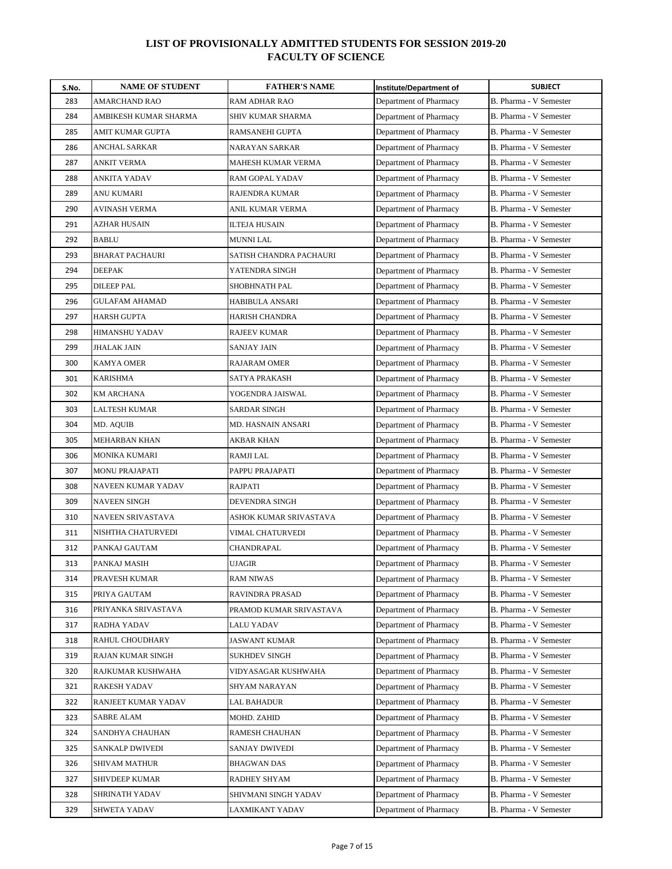| S.No. | <b>NAME OF STUDENT</b> | <b>FATHER'S NAME</b>    | <b>Institute/Department of</b> | <b>SUBJECT</b>         |
|-------|------------------------|-------------------------|--------------------------------|------------------------|
| 283   | AMARCHAND RAO          | RAM ADHAR RAO           | Department of Pharmacy         | B. Pharma - V Semester |
| 284   | AMBIKESH KUMAR SHARMA  | SHIV KUMAR SHARMA       | Department of Pharmacy         | B. Pharma - V Semester |
| 285   | AMIT KUMAR GUPTA       | RAMSANEHI GUPTA         | Department of Pharmacy         | B. Pharma - V Semester |
| 286   | <b>ANCHAL SARKAR</b>   | NARAYAN SARKAR          | Department of Pharmacy         | B. Pharma - V Semester |
| 287   | <b>ANKIT VERMA</b>     | MAHESH KUMAR VERMA      | Department of Pharmacy         | B. Pharma - V Semester |
| 288   | ANKITA YADAV           | RAM GOPAL YADAV         | Department of Pharmacy         | B. Pharma - V Semester |
| 289   | ANU KUMARI             | RAJENDRA KUMAR          | Department of Pharmacy         | B. Pharma - V Semester |
| 290   | AVINASH VERMA          | ANIL KUMAR VERMA        | Department of Pharmacy         | B. Pharma - V Semester |
| 291   | <b>AZHAR HUSAIN</b>    | ILTEJA HUSAIN           | Department of Pharmacy         | B. Pharma - V Semester |
| 292   | <b>BABLU</b>           | <b>MUNNI LAL</b>        | Department of Pharmacy         | B. Pharma - V Semester |
| 293   | <b>BHARAT PACHAURI</b> | SATISH CHANDRA PACHAURI | Department of Pharmacy         | B. Pharma - V Semester |
| 294   | <b>DEEPAK</b>          | YATENDRA SINGH          | Department of Pharmacy         | B. Pharma - V Semester |
| 295   | <b>DILEEP PAL</b>      | SHOBHNATH PAL           | Department of Pharmacy         | B. Pharma - V Semester |
| 296   | <b>GULAFAM AHAMAD</b>  | HABIBULA ANSARI         | Department of Pharmacy         | B. Pharma - V Semester |
| 297   | <b>HARSH GUPTA</b>     | HARISH CHANDRA          | Department of Pharmacy         | B. Pharma - V Semester |
| 298   | HIMANSHU YADAV         | <b>RAJEEV KUMAR</b>     | Department of Pharmacy         | B. Pharma - V Semester |
| 299   | <b>JHALAK JAIN</b>     | SANJAY JAIN             | Department of Pharmacy         | B. Pharma - V Semester |
| 300   | <b>KAMYA OMER</b>      | RAJARAM OMER            | Department of Pharmacy         | B. Pharma - V Semester |
| 301   | <b>KARISHMA</b>        | SATYA PRAKASH           | Department of Pharmacy         | B. Pharma - V Semester |
| 302   | <b>KM ARCHANA</b>      | YOGENDRA JAISWAL        | Department of Pharmacy         | B. Pharma - V Semester |
| 303   | LALTESH KUMAR          | SARDAR SINGH            | Department of Pharmacy         | B. Pharma - V Semester |
| 304   | MD. AQUIB              | MD. HASNAIN ANSARI      | Department of Pharmacy         | B. Pharma - V Semester |
| 305   | MEHARBAN KHAN          | AKBAR KHAN              | Department of Pharmacy         | B. Pharma - V Semester |
| 306   | MONIKA KUMARI          | RAMJI LAL               | Department of Pharmacy         | B. Pharma - V Semester |
| 307   | <b>MONU PRAJAPATI</b>  | PAPPU PRAJAPATI         | Department of Pharmacy         | B. Pharma - V Semester |
| 308   | NAVEEN KUMAR YADAV     | RAJPATI                 | Department of Pharmacy         | B. Pharma - V Semester |
| 309   | <b>NAVEEN SINGH</b>    | DEVENDRA SINGH          | Department of Pharmacy         | B. Pharma - V Semester |
| 310   | NAVEEN SRIVASTAVA      | ASHOK KUMAR SRIVASTAVA  | Department of Pharmacy         | B. Pharma - V Semester |
| 311   | NISHTHA CHATURVEDI     | VIMAL CHATURVEDI        | Department of Pharmacy         | B. Pharma - V Semester |
| 312   | PANKAJ GAUTAM          | CHANDRAPAL              | Department of Pharmacy         | B. Pharma - V Semester |
| 313   | PANKAJ MASIH           | UJAGIR                  | Department of Pharmacy         | B. Pharma - V Semester |
| 314   | PRAVESH KUMAR          | <b>RAM NIWAS</b>        | Department of Pharmacy         | B. Pharma - V Semester |
| 315   | PRIYA GAUTAM           | RAVINDRA PRASAD         | Department of Pharmacy         | B. Pharma - V Semester |
| 316   | PRIYANKA SRIVASTAVA    | PRAMOD KUMAR SRIVASTAVA | Department of Pharmacy         | B. Pharma - V Semester |
| 317   | RADHA YADAV            | LALU YADAV              | Department of Pharmacy         | B. Pharma - V Semester |
| 318   | RAHUL CHOUDHARY        | JASWANT KUMAR           | Department of Pharmacy         | B. Pharma - V Semester |
| 319   | RAJAN KUMAR SINGH      | SUKHDEV SINGH           | Department of Pharmacy         | B. Pharma - V Semester |
| 320   | RAJKUMAR KUSHWAHA      | VIDYASAGAR KUSHWAHA     | Department of Pharmacy         | B. Pharma - V Semester |
| 321   | RAKESH YADAV           | SHYAM NARAYAN           | Department of Pharmacy         | B. Pharma - V Semester |
| 322   | RANJEET KUMAR YADAV    | <b>LAL BAHADUR</b>      | Department of Pharmacy         | B. Pharma - V Semester |
| 323   | SABRE ALAM             | MOHD. ZAHID             | Department of Pharmacy         | B. Pharma - V Semester |
| 324   | SANDHYA CHAUHAN        | RAMESH CHAUHAN          | Department of Pharmacy         | B. Pharma - V Semester |
| 325   | SANKALP DWIVEDI        | SANJAY DWIVEDI          | Department of Pharmacy         | B. Pharma - V Semester |
| 326   | SHIVAM MATHUR          | BHAGWAN DAS             | Department of Pharmacy         | B. Pharma - V Semester |
| 327   | SHIVDEEP KUMAR         | RADHEY SHYAM            | Department of Pharmacy         | B. Pharma - V Semester |
| 328   | SHRINATH YADAV         | SHIVMANI SINGH YADAV    | Department of Pharmacy         | B. Pharma - V Semester |
| 329   | SHWETA YADAV           | LAXMIKANT YADAV         | Department of Pharmacy         | B. Pharma - V Semester |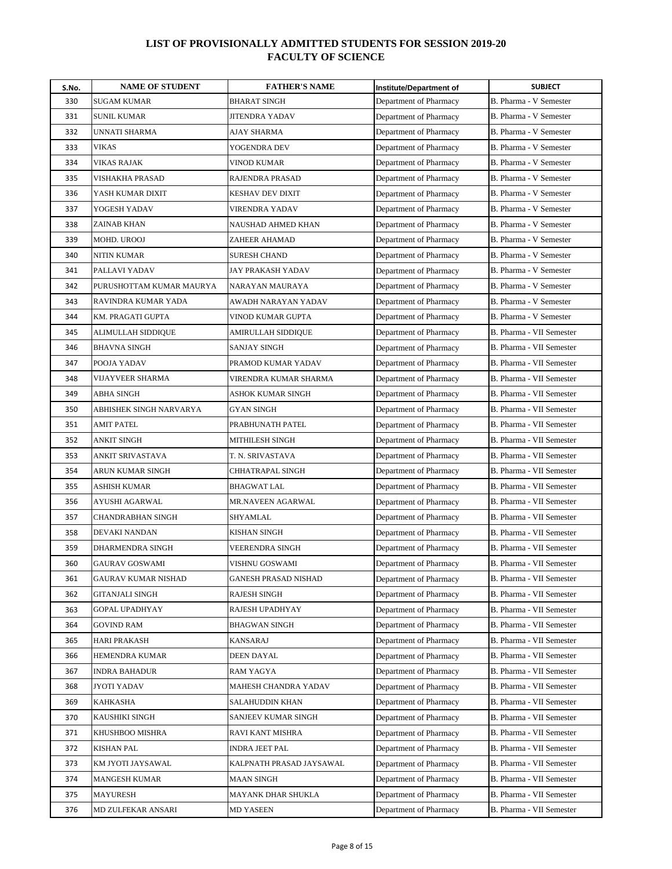| S.No. | <b>NAME OF STUDENT</b>   | <b>FATHER'S NAME</b>     | Institute/Department of | <b>SUBJECT</b>           |
|-------|--------------------------|--------------------------|-------------------------|--------------------------|
| 330   | <b>SUGAM KUMAR</b>       | <b>BHARAT SINGH</b>      | Department of Pharmacy  | B. Pharma - V Semester   |
| 331   | <b>SUNIL KUMAR</b>       | <b>JITENDRA YADAV</b>    | Department of Pharmacy  | B. Pharma - V Semester   |
| 332   | UNNATI SHARMA            | AJAY SHARMA              | Department of Pharmacy  | B. Pharma - V Semester   |
| 333   | <b>VIKAS</b>             | YOGENDRA DEV             | Department of Pharmacy  | B. Pharma - V Semester   |
| 334   | <b>VIKAS RAJAK</b>       | VINOD KUMAR              | Department of Pharmacy  | B. Pharma - V Semester   |
| 335   | VISHAKHA PRASAD          | RAJENDRA PRASAD          | Department of Pharmacy  | B. Pharma - V Semester   |
| 336   | YASH KUMAR DIXIT         | KESHAV DEV DIXIT         | Department of Pharmacy  | B. Pharma - V Semester   |
| 337   | YOGESH YADAV             | VIRENDRA YADAV           | Department of Pharmacy  | B. Pharma - V Semester   |
| 338   | ZAINAB KHAN              | NAUSHAD AHMED KHAN       | Department of Pharmacy  | B. Pharma - V Semester   |
| 339   | MOHD. UROOJ              | ZAHEER AHAMAD            | Department of Pharmacy  | B. Pharma - V Semester   |
| 340   | <b>NITIN KUMAR</b>       | <b>SURESH CHAND</b>      | Department of Pharmacy  | B. Pharma - V Semester   |
| 341   | PALLAVI YADAV            | JAY PRAKASH YADAV        | Department of Pharmacy  | B. Pharma - V Semester   |
| 342   | PURUSHOTTAM KUMAR MAURYA | NARAYAN MAURAYA          | Department of Pharmacy  | B. Pharma - V Semester   |
| 343   | RAVINDRA KUMAR YADA      | AWADH NARAYAN YADAV      | Department of Pharmacy  | B. Pharma - V Semester   |
| 344   | KM. PRAGATI GUPTA        | VINOD KUMAR GUPTA        | Department of Pharmacy  | B. Pharma - V Semester   |
| 345   | ALIMULLAH SIDDIQUE       | AMIRULLAH SIDDIQUE       | Department of Pharmacy  | B. Pharma - VII Semester |
| 346   | <b>BHAVNA SINGH</b>      | SANJAY SINGH             | Department of Pharmacy  | B. Pharma - VII Semester |
| 347   | POOJA YADAV              | PRAMOD KUMAR YADAV       | Department of Pharmacy  | B. Pharma - VII Semester |
| 348   | VIJAYVEER SHARMA         | VIRENDRA KUMAR SHARMA    | Department of Pharmacy  | B. Pharma - VII Semester |
| 349   | ABHA SINGH               | ASHOK KUMAR SINGH        | Department of Pharmacy  | B. Pharma - VII Semester |
| 350   | ABHISHEK SINGH NARVARYA  | GYAN SINGH               | Department of Pharmacy  | B. Pharma - VII Semester |
| 351   | <b>AMIT PATEL</b>        | PRABHUNATH PATEL         | Department of Pharmacy  | B. Pharma - VII Semester |
| 352   | ANKIT SINGH              | MITHILESH SINGH          | Department of Pharmacy  | B. Pharma - VII Semester |
| 353   | ANKIT SRIVASTAVA         | T. N. SRIVASTAVA         | Department of Pharmacy  | B. Pharma - VII Semester |
| 354   | ARUN KUMAR SINGH         | CHHATRAPAL SINGH         | Department of Pharmacy  | B. Pharma - VII Semester |
| 355   | ASHISH KUMAR             | <b>BHAGWAT LAL</b>       | Department of Pharmacy  | B. Pharma - VII Semester |
| 356   | AYUSHI AGARWAL           | MR.NAVEEN AGARWAL        | Department of Pharmacy  | B. Pharma - VII Semester |
| 357   | <b>CHANDRABHAN SINGH</b> | SHYAMLAL                 | Department of Pharmacy  | B. Pharma - VII Semester |
| 358   | DEVAKI NANDAN            | KISHAN SINGH             | Department of Pharmacy  | B. Pharma - VII Semester |
| 359   | DHARMENDRA SINGH         | VEERENDRA SINGH          | Department of Pharmacy  | B. Pharma - VII Semester |
| 360   | <b>GAURAV GOSWAMI</b>    | VISHNU GOSWAMI           | Department of Pharmacy  | B. Pharma - VII Semester |
| 361   | GAURAV KUMAR NISHAD      | GANESH PRASAD NISHAD     | Department of Pharmacy  | B. Pharma - VII Semester |
| 362   | GITANJALI SINGH          | RAJESH SINGH             | Department of Pharmacy  | B. Pharma - VII Semester |
| 363   | <b>GOPAL UPADHYAY</b>    | RAJESH UPADHYAY          | Department of Pharmacy  | B. Pharma - VII Semester |
| 364   | GOVIND RAM               | BHAGWAN SINGH            | Department of Pharmacy  | B. Pharma - VII Semester |
| 365   | HARI PRAKASH             | KANSARAJ                 | Department of Pharmacy  | B. Pharma - VII Semester |
| 366   | HEMENDRA KUMAR           | DEEN DAYAL               | Department of Pharmacy  | B. Pharma - VII Semester |
| 367   | INDRA BAHADUR            | RAM YAGYA                | Department of Pharmacy  | B. Pharma - VII Semester |
| 368   | JYOTI YADAV              | MAHESH CHANDRA YADAV     | Department of Pharmacy  | B. Pharma - VII Semester |
| 369   | <b>KAHKASHA</b>          | SALAHUDDIN KHAN          | Department of Pharmacy  | B. Pharma - VII Semester |
| 370   | KAUSHIKI SINGH           | SANJEEV KUMAR SINGH      | Department of Pharmacy  | B. Pharma - VII Semester |
| 371   | KHUSHBOO MISHRA          | RAVI KANT MISHRA         | Department of Pharmacy  | B. Pharma - VII Semester |
| 372   | <b>KISHAN PAL</b>        | <b>INDRA JEET PAL</b>    | Department of Pharmacy  | B. Pharma - VII Semester |
| 373   | KM JYOTI JAYSAWAL        | KALPNATH PRASAD JAYSAWAL | Department of Pharmacy  | B. Pharma - VII Semester |
| 374   | MANGESH KUMAR            | MAAN SINGH               | Department of Pharmacy  | B. Pharma - VII Semester |
| 375   | <b>MAYURESH</b>          | MAYANK DHAR SHUKLA       | Department of Pharmacy  | B. Pharma - VII Semester |
| 376   | MD ZULFEKAR ANSARI       | MD YASEEN                | Department of Pharmacy  | B. Pharma - VII Semester |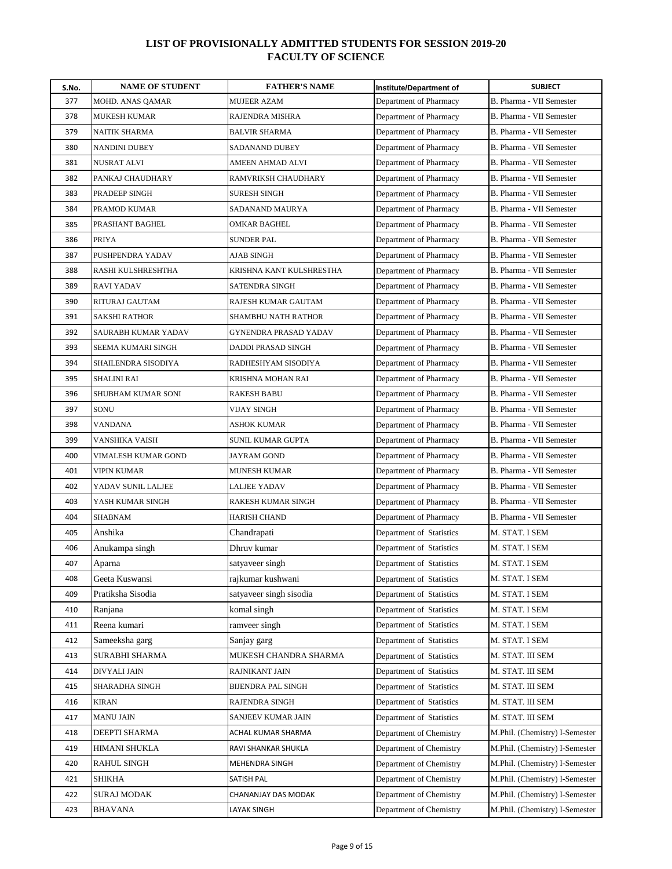| S.No. | <b>NAME OF STUDENT</b> | <b>FATHER'S NAME</b>      | Institute/Department of  | <b>SUBJECT</b>                 |
|-------|------------------------|---------------------------|--------------------------|--------------------------------|
| 377   | MOHD. ANAS QAMAR       | <b>MUJEER AZAM</b>        | Department of Pharmacy   | B. Pharma - VII Semester       |
| 378   | <b>MUKESH KUMAR</b>    | RAJENDRA MISHRA           | Department of Pharmacy   | B. Pharma - VII Semester       |
| 379   | NAITIK SHARMA          | BALVIR SHARMA             | Department of Pharmacy   | B. Pharma - VII Semester       |
| 380   | NANDINI DUBEY          | SADANAND DUBEY            | Department of Pharmacy   | B. Pharma - VII Semester       |
| 381   | <b>NUSRAT ALVI</b>     | AMEEN AHMAD ALVI          | Department of Pharmacy   | B. Pharma - VII Semester       |
| 382   | PANKAJ CHAUDHARY       | RAMVRIKSH CHAUDHARY       | Department of Pharmacy   | B. Pharma - VII Semester       |
| 383   | PRADEEP SINGH          | <b>SURESH SINGH</b>       | Department of Pharmacy   | B. Pharma - VII Semester       |
| 384   | PRAMOD KUMAR           | SADANAND MAURYA           | Department of Pharmacy   | B. Pharma - VII Semester       |
| 385   | PRASHANT BAGHEL        | OMKAR BAGHEL              | Department of Pharmacy   | B. Pharma - VII Semester       |
| 386   | <b>PRIYA</b>           | <b>SUNDER PAL</b>         | Department of Pharmacy   | B. Pharma - VII Semester       |
| 387   | PUSHPENDRA YADAV       | AJAB SINGH                | Department of Pharmacy   | B. Pharma - VII Semester       |
| 388   | RASHI KULSHRESHTHA     | KRISHNA KANT KULSHRESTHA  | Department of Pharmacy   | B. Pharma - VII Semester       |
| 389   | <b>RAVI YADAV</b>      | <b>SATENDRA SINGH</b>     | Department of Pharmacy   | B. Pharma - VII Semester       |
| 390   | RITURAJ GAUTAM         | RAJESH KUMAR GAUTAM       | Department of Pharmacy   | B. Pharma - VII Semester       |
| 391   | <b>SAKSHI RATHOR</b>   | SHAMBHU NATH RATHOR       | Department of Pharmacy   | B. Pharma - VII Semester       |
| 392   | SAURABH KUMAR YADAV    | GYNENDRA PRASAD YADAV     | Department of Pharmacy   | B. Pharma - VII Semester       |
| 393   | SEEMA KUMARI SINGH     | <b>DADDI PRASAD SINGH</b> | Department of Pharmacy   | B. Pharma - VII Semester       |
| 394   | SHAILENDRA SISODIYA    | RADHESHYAM SISODIYA       | Department of Pharmacy   | B. Pharma - VII Semester       |
| 395   | <b>SHALINI RAI</b>     | KRISHNA MOHAN RAI         | Department of Pharmacy   | B. Pharma - VII Semester       |
| 396   | SHUBHAM KUMAR SONI     | RAKESH BABU               | Department of Pharmacy   | B. Pharma - VII Semester       |
| 397   | SONU                   | VIJAY SINGH               | Department of Pharmacy   | B. Pharma - VII Semester       |
| 398   | <b>VANDANA</b>         | ASHOK KUMAR               | Department of Pharmacy   | B. Pharma - VII Semester       |
| 399   | VANSHIKA VAISH         | SUNIL KUMAR GUPTA         | Department of Pharmacy   | B. Pharma - VII Semester       |
| 400   | VIMALESH KUMAR GOND    | JAYRAM GOND               | Department of Pharmacy   | B. Pharma - VII Semester       |
| 401   | VIPIN KUMAR            | <b>MUNESH KUMAR</b>       | Department of Pharmacy   | B. Pharma - VII Semester       |
| 402   | YADAV SUNIL LALJEE     | <b>LALJEE YADAV</b>       | Department of Pharmacy   | B. Pharma - VII Semester       |
| 403   | YASH KUMAR SINGH       | RAKESH KUMAR SINGH        | Department of Pharmacy   | B. Pharma - VII Semester       |
| 404   | <b>SHABNAM</b>         | <b>HARISH CHAND</b>       | Department of Pharmacy   | B. Pharma - VII Semester       |
| 405   | Anshika                | Chandrapati               | Department of Statistics | M. STAT. I SEM                 |
| 406   | Anukampa singh         | Dhruv kumar               | Department of Statistics | M. STAT. I SEM                 |
| 407   | Aparna                 | satyaveer singh           | Department of Statistics | M. STAT. I SEM                 |
| 408   | Geeta Kuswansi         | rajkumar kushwani         | Department of Statistics | M. STAT. I SEM                 |
| 409   | Pratiksha Sisodia      | satyaveer singh sisodia   | Department of Statistics | M. STAT. I SEM                 |
| 410   | Ranjana                | komal singh               | Department of Statistics | M. STAT. I SEM                 |
| 411   | Reena kumari           | ramveer singh             | Department of Statistics | M. STAT. I SEM                 |
| 412   | Sameeksha garg         | Sanjay garg               | Department of Statistics | M. STAT. I SEM                 |
| 413   | SURABHI SHARMA         | MUKESH CHANDRA SHARMA     | Department of Statistics | M. STAT. III SEM               |
| 414   | DIVYALI JAIN           | RAJNIKANT JAIN            | Department of Statistics | M. STAT. III SEM               |
| 415   | SHARADHA SINGH         | BIJENDRA PAL SINGH        | Department of Statistics | M. STAT. III SEM               |
| 416   | <b>KIRAN</b>           | RAJENDRA SINGH            | Department of Statistics | M. STAT. III SEM               |
| 417   | MANU JAIN              | SANJEEV KUMAR JAIN        | Department of Statistics | M. STAT. III SEM               |
| 418   | DEEPTI SHARMA          | ACHAL KUMAR SHARMA        | Department of Chemistry  | M.Phil. (Chemistry) I-Semester |
| 419   | HIMANI SHUKLA          | RAVI SHANKAR SHUKLA       | Department of Chemistry  | M.Phil. (Chemistry) I-Semester |
| 420   | RAHUL SINGH            | MEHENDRA SINGH            | Department of Chemistry  | M.Phil. (Chemistry) I-Semester |
| 421   | SHIKHA                 | SATISH PAL                | Department of Chemistry  | M.Phil. (Chemistry) I-Semester |
| 422   | SURAJ MODAK            | CHANANJAY DAS MODAK       | Department of Chemistry  | M.Phil. (Chemistry) I-Semester |
| 423   | BHAVANA                | LAYAK SINGH               | Department of Chemistry  | M.Phil. (Chemistry) I-Semester |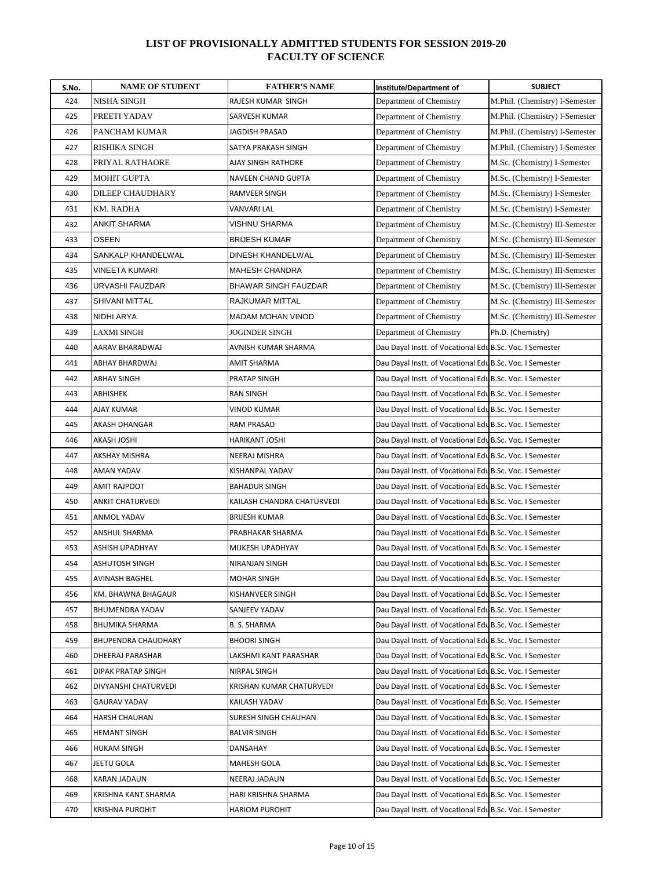| S.No. | <b>NAME OF STUDENT</b>     | <b>FATHER'S NAME</b>        | Institute/Department of                                  | <b>SUBJECT</b>                 |
|-------|----------------------------|-----------------------------|----------------------------------------------------------|--------------------------------|
| 424   | NISHA SINGH                | RAJESH KUMAR SINGH          | Department of Chemistry                                  | M.Phil. (Chemistry) I-Semester |
| 425   | PREETI YADAV               | SARVESH KUMAR               | Department of Chemistry                                  | M.Phil. (Chemistry) I-Semester |
| 426   | PANCHAM KUMAR              | JAGDISH PRASAD              | Department of Chemistry                                  | M.Phil. (Chemistry) I-Semester |
| 427   | RISHIKA SINGH              | SATYA PRAKASH SINGH         | Department of Chemistry                                  | M.Phil. (Chemistry) I-Semester |
| 428   | PRIYAL RATHAORE            | AJAY SINGH RATHORE          | Department of Chemistry                                  | M.Sc. (Chemistry) I-Semester   |
| 429   | <b>MOHIT GUPTA</b>         | NAVEEN CHAND GUPTA          | Department of Chemistry                                  | M.Sc. (Chemistry) I-Semester   |
| 430   | DILEEP CHAUDHARY           | RAMVEER SINGH               | Department of Chemistry                                  | M.Sc. (Chemistry) I-Semester   |
| 431   | KM. RADHA                  | VANVARI LAL                 | Department of Chemistry                                  | M.Sc. (Chemistry) I-Semester   |
| 432   | ANKIT SHARMA               | VISHNU SHARMA               | Department of Chemistry                                  | M.Sc. (Chemistry) III-Semester |
| 433   | <b>OSEEN</b>               | <b>BRIJESH KUMAR</b>        | Department of Chemistry                                  | M.Sc. (Chemistry) III-Semester |
| 434   | SANKALP KHANDELWAL         | DINESH KHANDELWAL           | Department of Chemistry                                  | M.Sc. (Chemistry) III-Semester |
| 435   | VINEETA KUMARI             | MAHESH CHANDRA              | Department of Chemistry                                  | M.Sc. (Chemistry) III-Semester |
| 436   | URVASHI FAUZDAR            | <b>BHAWAR SINGH FAUZDAR</b> | Department of Chemistry                                  | M.Sc. (Chemistry) III-Semester |
| 437   | SHIVANI MITTAL             | RAJKUMAR MITTAL             | Department of Chemistry                                  | M.Sc. (Chemistry) III-Semester |
| 438   | NIDHI ARYA                 | MADAM MOHAN VINOD           | Department of Chemistry                                  | M.Sc. (Chemistry) III-Semester |
| 439   | <b>LAXMI SINGH</b>         | JOGINDER SINGH              | Department of Chemistry                                  | Ph.D. (Chemistry)              |
| 440   | AARAV BHARADWAJ            | AVNISH KUMAR SHARMA         | Dau Dayal Instt. of Vocational Edu B.Sc. Voc. I Semester |                                |
| 441   | ABHAY BHARDWAJ             | AMIT SHARMA                 | Dau Dayal Instt. of Vocational Edu B.Sc. Voc. I Semester |                                |
| 442   | <b>ABHAY SINGH</b>         | PRATAP SINGH                | Dau Dayal Instt. of Vocational Edu B.Sc. Voc. I Semester |                                |
| 443   | ABHISHEK                   | RAN SINGH                   | Dau Dayal Instt. of Vocational Edu B.Sc. Voc. I Semester |                                |
| 444   | AJAY KUMAR                 | VINOD KUMAR                 | Dau Dayal Instt. of Vocational Edu B.Sc. Voc. I Semester |                                |
| 445   | AKASH DHANGAR              | RAM PRASAD                  | Dau Dayal Instt. of Vocational Edu B.Sc. Voc. I Semester |                                |
| 446   | AKASH JOSHI                | HARIKANT JOSHI              | Dau Dayal Instt. of Vocational Edu B.Sc. Voc. I Semester |                                |
| 447   | AKSHAY MISHRA              | NEERAJ MISHRA               | Dau Dayal Instt. of Vocational Edu B.Sc. Voc. I Semester |                                |
| 448   | AMAN YADAV                 | KISHANPAL YADAV             | Dau Dayal Instt. of Vocational Edu B.Sc. Voc. I Semester |                                |
| 449   | <b>AMIT RAJPOOT</b>        | BAHADUR SINGH               | Dau Dayal Instt. of Vocational Edu B.Sc. Voc. I Semester |                                |
| 450   | <b>ANKIT CHATURVEDI</b>    | KAILASH CHANDRA CHATURVEDI  | Dau Dayal Instt. of Vocational Edu B.Sc. Voc. I Semester |                                |
| 451   | ANMOL YADAV                | <b>BRIJESH KUMAR</b>        | Dau Dayal Instt. of Vocational Edu B.Sc. Voc. I Semester |                                |
| 452   | ANSHUL SHARMA              | PRABHAKAR SHARMA            | Dau Dayal Instt. of Vocational Edu B.Sc. Voc. I Semester |                                |
| 453   | ASHISH UPADHYAY            | MUKESH UPADHYAY             | Dau Dayal Instt. of Vocational Edu B.Sc. Voc. I Semester |                                |
| 454   | ASHUTOSH SINGH             | NIRANJAN SINGH              | Dau Dayal Instt. of Vocational Edu B.Sc. Voc. I Semester |                                |
| 455   | <b>AVINASH BAGHEL</b>      | <b>MOHAR SINGH</b>          | Dau Dayal Instt. of Vocational Edu B.Sc. Voc. I Semester |                                |
| 456   | KM. BHAWNA BHAGAUR         | KISHANVEER SINGH            | Dau Dayal Instt. of Vocational Edu B.Sc. Voc. I Semester |                                |
| 457   | <b>BHUMENDRA YADAV</b>     | SANJEEV YADAV               | Dau Dayal Instt. of Vocational Edu B.Sc. Voc. I Semester |                                |
| 458   | BHUMIKA SHARMA             | B. S. SHARMA                | Dau Dayal Instt. of Vocational Edu B.Sc. Voc. I Semester |                                |
| 459   | <b>BHUPENDRA CHAUDHARY</b> | BHOORI SINGH                | Dau Dayal Instt. of Vocational Edu B.Sc. Voc. I Semester |                                |
| 460   | DHEERAJ PARASHAR           | LAKSHMI KANT PARASHAR       | Dau Dayal Instt. of Vocational Edu B.Sc. Voc. I Semester |                                |
| 461   | DIPAK PRATAP SINGH         | NIRPAL SINGH                | Dau Dayal Instt. of Vocational Edu B.Sc. Voc. I Semester |                                |
| 462   | DIVYANSHI CHATURVEDI       | KRISHAN KUMAR CHATURVEDI    | Dau Dayal Instt. of Vocational Edu B.Sc. Voc. I Semester |                                |
| 463   | <b>GAURAV YADAV</b>        | KAILASH YADAV               | Dau Dayal Instt. of Vocational Edu B.Sc. Voc. I Semester |                                |
| 464   | <b>HARSH CHAUHAN</b>       | SURESH SINGH CHAUHAN        | Dau Dayal Instt. of Vocational Edu B.Sc. Voc. I Semester |                                |
| 465   | <b>HEMANT SINGH</b>        | BALVIR SINGH                | Dau Dayal Instt. of Vocational Edu B.Sc. Voc. I Semester |                                |
| 466   | HUKAM SINGH                | DANSAHAY                    | Dau Dayal Instt. of Vocational Edu B.Sc. Voc. I Semester |                                |
| 467   | JEETU GOLA                 | MAHESH GOLA                 | Dau Dayal Instt. of Vocational Edu B.Sc. Voc. I Semester |                                |
| 468   | KARAN JADAUN               | NEERAJ JADAUN               | Dau Dayal Instt. of Vocational Edu B.Sc. Voc. I Semester |                                |
| 469   | KRISHNA KANT SHARMA        | HARI KRISHNA SHARMA         | Dau Dayal Instt. of Vocational Edu B.Sc. Voc. I Semester |                                |
| 470   | <b>KRISHNA PUROHIT</b>     | <b>HARIOM PUROHIT</b>       | Dau Dayal Instt. of Vocational Edu B.Sc. Voc. I Semester |                                |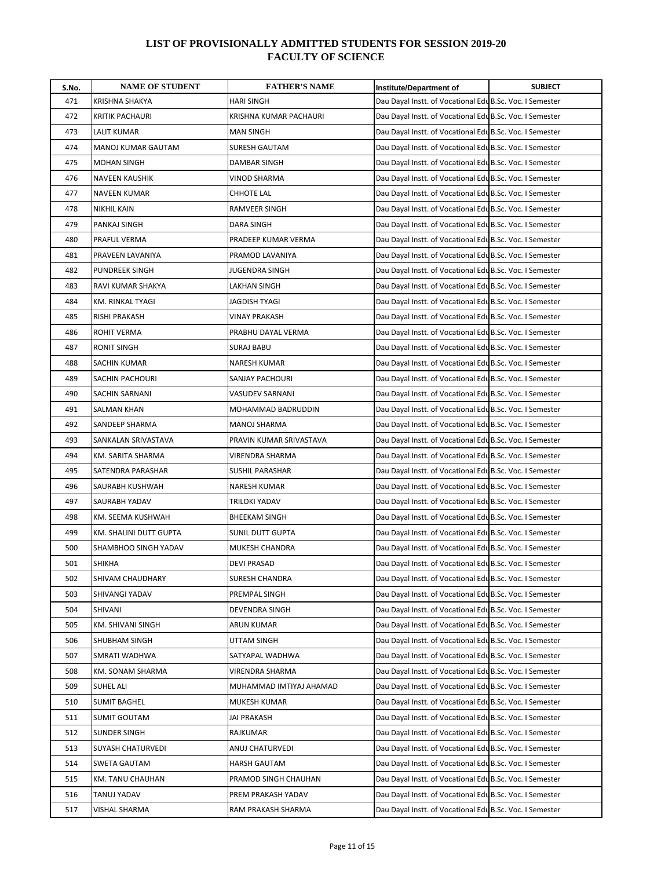| S.No. | <b>NAME OF STUDENT</b>    | <b>FATHER'S NAME</b>    | <b>Institute/Department of</b>                           | <b>SUBJECT</b> |
|-------|---------------------------|-------------------------|----------------------------------------------------------|----------------|
| 471   | KRISHNA SHAKYA            | <b>HARI SINGH</b>       | Dau Dayal Instt. of Vocational Edu B.Sc. Voc. I Semester |                |
| 472   | <b>KRITIK PACHAURI</b>    | KRISHNA KUMAR PACHAURI  | Dau Dayal Instt. of Vocational Edu B.Sc. Voc. I Semester |                |
| 473   | LALIT KUMAR               | <b>MAN SINGH</b>        | Dau Dayal Instt. of Vocational Edu B.Sc. Voc. I Semester |                |
| 474   | <b>MANOJ KUMAR GAUTAM</b> | <b>SURESH GAUTAM</b>    | Dau Dayal Instt. of Vocational Edu B.Sc. Voc. I Semester |                |
| 475   | <b>MOHAN SINGH</b>        | DAMBAR SINGH            | Dau Dayal Instt. of Vocational Edu B.Sc. Voc. I Semester |                |
| 476   | <b>NAVEEN KAUSHIK</b>     | VINOD SHARMA            | Dau Dayal Instt. of Vocational Edu B.Sc. Voc. I Semester |                |
| 477   | <b>NAVEEN KUMAR</b>       | CHHOTE LAL              | Dau Dayal Instt. of Vocational Edu B.Sc. Voc. I Semester |                |
| 478   | <b>NIKHIL KAIN</b>        | RAMVEER SINGH           | Dau Dayal Instt. of Vocational Edu B.Sc. Voc. I Semester |                |
| 479   | PANKAJ SINGH              | DARA SINGH              | Dau Dayal Instt. of Vocational Edu B.Sc. Voc. I Semester |                |
| 480   | PRAFUL VERMA              | PRADEEP KUMAR VERMA     | Dau Dayal Instt. of Vocational Edu B.Sc. Voc. I Semester |                |
| 481   | PRAVEEN LAVANIYA          | PRAMOD LAVANIYA         | Dau Dayal Instt. of Vocational Edu B.Sc. Voc. I Semester |                |
| 482   | PUNDREEK SINGH            | JUGENDRA SINGH          | Dau Dayal Instt. of Vocational Edu B.Sc. Voc. I Semester |                |
| 483   | RAVI KUMAR SHAKYA         | LAKHAN SINGH            | Dau Dayal Instt. of Vocational Edu B.Sc. Voc. I Semester |                |
| 484   | KM. RINKAL TYAGI          | JAGDISH TYAGI           | Dau Dayal Instt. of Vocational Edu B.Sc. Voc. I Semester |                |
| 485   | RISHI PRAKASH             | VINAY PRAKASH           | Dau Dayal Instt. of Vocational Edu B.Sc. Voc. I Semester |                |
| 486   | ROHIT VERMA               | PRABHU DAYAL VERMA      | Dau Dayal Instt. of Vocational Edu B.Sc. Voc. I Semester |                |
| 487   | <b>RONIT SINGH</b>        | <b>SURAJ BABU</b>       | Dau Dayal Instt. of Vocational Edu B.Sc. Voc. I Semester |                |
| 488   | SACHIN KUMAR              | NARESH KUMAR            | Dau Dayal Instt. of Vocational Edu B.Sc. Voc. I Semester |                |
| 489   | <b>SACHIN PACHOURI</b>    | <b>SANJAY PACHOURI</b>  | Dau Dayal Instt. of Vocational Edu B.Sc. Voc. I Semester |                |
| 490   | <b>SACHIN SARNANI</b>     | VASUDEV SARNANI         | Dau Dayal Instt. of Vocational Edu B.Sc. Voc. I Semester |                |
| 491   | SALMAN KHAN               | MOHAMMAD BADRUDDIN      | Dau Dayal Instt. of Vocational Edu B.Sc. Voc. I Semester |                |
| 492   | SANDEEP SHARMA            | <b>MANOJ SHARMA</b>     | Dau Dayal Instt. of Vocational Edu B.Sc. Voc. I Semester |                |
| 493   | SANKALAN SRIVASTAVA       | PRAVIN KUMAR SRIVASTAVA | Dau Dayal Instt. of Vocational Edu B.Sc. Voc. I Semester |                |
| 494   | KM. SARITA SHARMA         | VIRENDRA SHARMA         | Dau Dayal Instt. of Vocational Edu B.Sc. Voc. I Semester |                |
| 495   | SATENDRA PARASHAR         | SUSHIL PARASHAR         | Dau Dayal Instt. of Vocational Edu B.Sc. Voc. I Semester |                |
| 496   | SAURABH KUSHWAH           | NARESH KUMAR            | Dau Dayal Instt. of Vocational Edu B.Sc. Voc. I Semester |                |
| 497   | SAURABH YADAV             | TRILOKI YADAV           | Dau Dayal Instt. of Vocational Edu B.Sc. Voc. I Semester |                |
| 498   | KM. SEEMA KUSHWAH         | <b>BHEEKAM SINGH</b>    | Dau Dayal Instt. of Vocational Edu B.Sc. Voc. I Semester |                |
| 499   | KM. SHALINI DUTT GUPTA    | SUNIL DUTT GUPTA        | Dau Dayal Instt. of Vocational Edu B.Sc. Voc. I Semester |                |
| 500   | SHAMBHOO SINGH YADAV      | MUKESH CHANDRA          | Dau Dayal Instt. of Vocational Edu B.Sc. Voc. I Semester |                |
| 501   | <b>SHIKHA</b>             | <b>DEVI PRASAD</b>      | Dau Dayal Instt. of Vocational Edu B.Sc. Voc. I Semester |                |
| 502   | SHIVAM CHAUDHARY          | <b>SURESH CHANDRA</b>   | Dau Dayal Instt. of Vocational Edu B.Sc. Voc. I Semester |                |
| 503   | SHIVANGI YADAV            | PREMPAL SINGH           | Dau Dayal Instt. of Vocational Edu B.Sc. Voc. I Semester |                |
| 504   | SHIVANI                   | DEVENDRA SINGH          | Dau Dayal Instt. of Vocational Edu B.Sc. Voc. I Semester |                |
| 505   | KM. SHIVANI SINGH         | ARUN KUMAR              | Dau Dayal Instt. of Vocational Edu B.Sc. Voc. I Semester |                |
| 506   | SHUBHAM SINGH             | UTTAM SINGH             | Dau Dayal Instt. of Vocational Edu B.Sc. Voc. I Semester |                |
| 507   | SMRATI WADHWA             | SATYAPAL WADHWA         | Dau Dayal Instt. of Vocational Edu B.Sc. Voc. I Semester |                |
| 508   | KM. SONAM SHARMA          | VIRENDRA SHARMA         | Dau Dayal Instt. of Vocational Edu B.Sc. Voc. I Semester |                |
| 509   | SUHEL ALI                 | MUHAMMAD IMTIYAJ AHAMAD | Dau Dayal Instt. of Vocational Edu B.Sc. Voc. I Semester |                |
| 510   | <b>SUMIT BAGHEL</b>       | MUKESH KUMAR            | Dau Dayal Instt. of Vocational Edu B.Sc. Voc. I Semester |                |
| 511   | <b>SUMIT GOUTAM</b>       | JAI PRAKASH             | Dau Dayal Instt. of Vocational Edu B.Sc. Voc. I Semester |                |
| 512   | SUNDER SINGH              | RAJKUMAR                | Dau Dayal Instt. of Vocational Edu B.Sc. Voc. I Semester |                |
| 513   | SUYASH CHATURVEDI         | ANUJ CHATURVEDI         | Dau Dayal Instt. of Vocational Edu B.Sc. Voc. I Semester |                |
| 514   | SWETA GAUTAM              | HARSH GAUTAM            | Dau Dayal Instt. of Vocational Edu B.Sc. Voc. I Semester |                |
| 515   | KM. TANU CHAUHAN          | PRAMOD SINGH CHAUHAN    | Dau Dayal Instt. of Vocational Edu B.Sc. Voc. I Semester |                |
| 516   | TANUJ YADAV               | PREM PRAKASH YADAV      | Dau Dayal Instt. of Vocational Edu B.Sc. Voc. I Semester |                |
| 517   | VISHAL SHARMA             | RAM PRAKASH SHARMA      | Dau Dayal Instt. of Vocational Edu B.Sc. Voc. I Semester |                |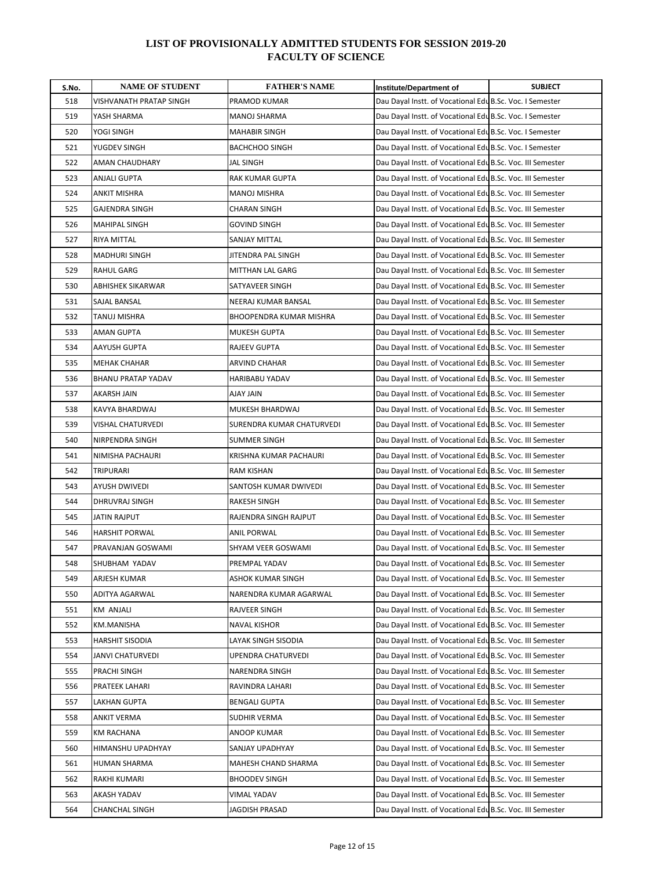| S.No. | <b>NAME OF STUDENT</b>   | <b>FATHER'S NAME</b>      | Institute/Department of                                    | <b>SUBJECT</b> |
|-------|--------------------------|---------------------------|------------------------------------------------------------|----------------|
| 518   | VISHVANATH PRATAP SINGH  | PRAMOD KUMAR              | Dau Dayal Instt. of Vocational Edu B.Sc. Voc. I Semester   |                |
| 519   | YASH SHARMA              | <b>MANOJ SHARMA</b>       | Dau Dayal Instt. of Vocational Edu B.Sc. Voc. I Semester   |                |
| 520   | YOGI SINGH               | <b>MAHABIR SINGH</b>      | Dau Dayal Instt. of Vocational Edu B.Sc. Voc. I Semester   |                |
| 521   | YUGDEV SINGH             | <b>BACHCHOO SINGH</b>     | Dau Dayal Instt. of Vocational Edu B.Sc. Voc. I Semester   |                |
| 522   | AMAN CHAUDHARY           | JAL SINGH                 | Dau Dayal Instt. of Vocational Edu B.Sc. Voc. III Semester |                |
| 523   | ANJALI GUPTA             | RAK KUMAR GUPTA           | Dau Dayal Instt. of Vocational Edu B.Sc. Voc. III Semester |                |
| 524   | ANKIT MISHRA             | <b>MANOJ MISHRA</b>       | Dau Dayal Instt. of Vocational Edu B.Sc. Voc. III Semester |                |
| 525   | <b>GAJENDRA SINGH</b>    | CHARAN SINGH              | Dau Dayal Instt. of Vocational Edu B.Sc. Voc. III Semester |                |
| 526   | <b>MAHIPAL SINGH</b>     | <b>GOVIND SINGH</b>       | Dau Dayal Instt. of Vocational Edu B.Sc. Voc. III Semester |                |
| 527   | RIYA MITTAL              | <b>SANJAY MITTAL</b>      | Dau Dayal Instt. of Vocational Edu B.Sc. Voc. III Semester |                |
| 528   | <b>MADHURI SINGH</b>     | JITENDRA PAL SINGH        | Dau Dayal Instt. of Vocational Edu B.Sc. Voc. III Semester |                |
| 529   | RAHUL GARG               | MITTHAN LAL GARG          | Dau Dayal Instt. of Vocational Edu B.Sc. Voc. III Semester |                |
| 530   | <b>ABHISHEK SIKARWAR</b> | SATYAVEER SINGH           | Dau Dayal Instt. of Vocational Edu B.Sc. Voc. III Semester |                |
| 531   | SAJAL BANSAL             | NEERAJ KUMAR BANSAL       | Dau Dayal Instt. of Vocational Edu B.Sc. Voc. III Semester |                |
| 532   | TANUJ MISHRA             | BHOOPENDRA KUMAR MISHRA   | Dau Dayal Instt. of Vocational Edu B.Sc. Voc. III Semester |                |
| 533   | <b>AMAN GUPTA</b>        | <b>MUKESH GUPTA</b>       | Dau Dayal Instt. of Vocational Edu B.Sc. Voc. III Semester |                |
| 534   | AAYUSH GUPTA             | RAJEEV GUPTA              | Dau Dayal Instt. of Vocational Edu B.Sc. Voc. III Semester |                |
| 535   | <b>MEHAK CHAHAR</b>      | ARVIND CHAHAR             | Dau Dayal Instt. of Vocational Edu B.Sc. Voc. III Semester |                |
| 536   | BHANU PRATAP YADAV       | HARIBABU YADAV            | Dau Dayal Instt. of Vocational Edu B.Sc. Voc. III Semester |                |
| 537   | AKARSH JAIN              | AJAY JAIN                 | Dau Dayal Instt. of Vocational Edu B.Sc. Voc. III Semester |                |
| 538   | KAVYA BHARDWAJ           | MUKESH BHARDWAJ           | Dau Dayal Instt. of Vocational Edu B.Sc. Voc. III Semester |                |
| 539   | <b>VISHAL CHATURVEDI</b> | SURENDRA KUMAR CHATURVEDI | Dau Dayal Instt. of Vocational Edu B.Sc. Voc. III Semester |                |
| 540   | NIRPENDRA SINGH          | SUMMER SINGH              | Dau Dayal Instt. of Vocational Edu B.Sc. Voc. III Semester |                |
| 541   | NIMISHA PACHAURI         | KRISHNA KUMAR PACHAURI    | Dau Dayal Instt. of Vocational Edu B.Sc. Voc. III Semester |                |
| 542   | TRIPURARI                | RAM KISHAN                | Dau Dayal Instt. of Vocational Edu B.Sc. Voc. III Semester |                |
| 543   | <b>AYUSH DWIVEDI</b>     | SANTOSH KUMAR DWIVEDI     | Dau Dayal Instt. of Vocational Edu B.Sc. Voc. III Semester |                |
| 544   | DHRUVRAJ SINGH           | RAKESH SINGH              | Dau Dayal Instt. of Vocational Edu B.Sc. Voc. III Semester |                |
| 545   | JATIN RAJPUT             | RAJENDRA SINGH RAJPUT     | Dau Dayal Instt. of Vocational Edu B.Sc. Voc. III Semester |                |
| 546   | <b>HARSHIT PORWAL</b>    | ANIL PORWAL               | Dau Dayal Instt. of Vocational Edu B.Sc. Voc. III Semester |                |
| 547   | PRAVANJAN GOSWAMI        | SHYAM VEER GOSWAMI        | Dau Dayal Instt. of Vocational Edu B.Sc. Voc. III Semester |                |
| 548   | SHUBHAM YADAV            | PREMPAL YADAV             | Dau Dayal Instt. of Vocational Edu B.Sc. Voc. III Semester |                |
| 549   | ARJESH KUMAR             | ASHOK KUMAR SINGH         | Dau Dayal Instt. of Vocational Edu B.Sc. Voc. III Semester |                |
| 550   | ADITYA AGARWAL           | NARENDRA KUMAR AGARWAL    | Dau Dayal Instt. of Vocational Edu B.Sc. Voc. III Semester |                |
| 551   | KM ANJALI                | RAJVEER SINGH             | Dau Dayal Instt. of Vocational Edu B.Sc. Voc. III Semester |                |
| 552   | KM.MANISHA               | NAVAL KISHOR              | Dau Dayal Instt. of Vocational Edu B.Sc. Voc. III Semester |                |
| 553   | <b>HARSHIT SISODIA</b>   | LAYAK SINGH SISODIA       | Dau Dayal Instt. of Vocational Edu B.Sc. Voc. III Semester |                |
| 554   | JANVI CHATURVEDI         | UPENDRA CHATURVEDI        | Dau Dayal Instt. of Vocational Edu B.Sc. Voc. III Semester |                |
| 555   | PRACHI SINGH             | NARENDRA SINGH            | Dau Dayal Instt. of Vocational Edu B.Sc. Voc. III Semester |                |
| 556   | PRATEEK LAHARI           | RAVINDRA LAHARI           | Dau Dayal Instt. of Vocational Edu B.Sc. Voc. III Semester |                |
| 557   | LAKHAN GUPTA             | <b>BENGALI GUPTA</b>      | Dau Dayal Instt. of Vocational Edu B.Sc. Voc. III Semester |                |
| 558   | ANKIT VERMA              | SUDHIR VERMA              | Dau Dayal Instt. of Vocational Edu B.Sc. Voc. III Semester |                |
| 559   | <b>KM RACHANA</b>        | ANOOP KUMAR               | Dau Dayal Instt. of Vocational Edu B.Sc. Voc. III Semester |                |
| 560   | HIMANSHU UPADHYAY        | SANJAY UPADHYAY           | Dau Dayal Instt. of Vocational Edu B.Sc. Voc. III Semester |                |
| 561   | HUMAN SHARMA             | MAHESH CHAND SHARMA       | Dau Dayal Instt. of Vocational Edu B.Sc. Voc. III Semester |                |
| 562   | RAKHI KUMARI             | <b>BHOODEV SINGH</b>      | Dau Dayal Instt. of Vocational Edu B.Sc. Voc. III Semester |                |
| 563   | AKASH YADAV              | VIMAL YADAV               | Dau Dayal Instt. of Vocational Edu B.Sc. Voc. III Semester |                |
| 564   | <b>CHANCHAL SINGH</b>    | JAGDISH PRASAD            | Dau Dayal Instt. of Vocational Edu B.Sc. Voc. III Semester |                |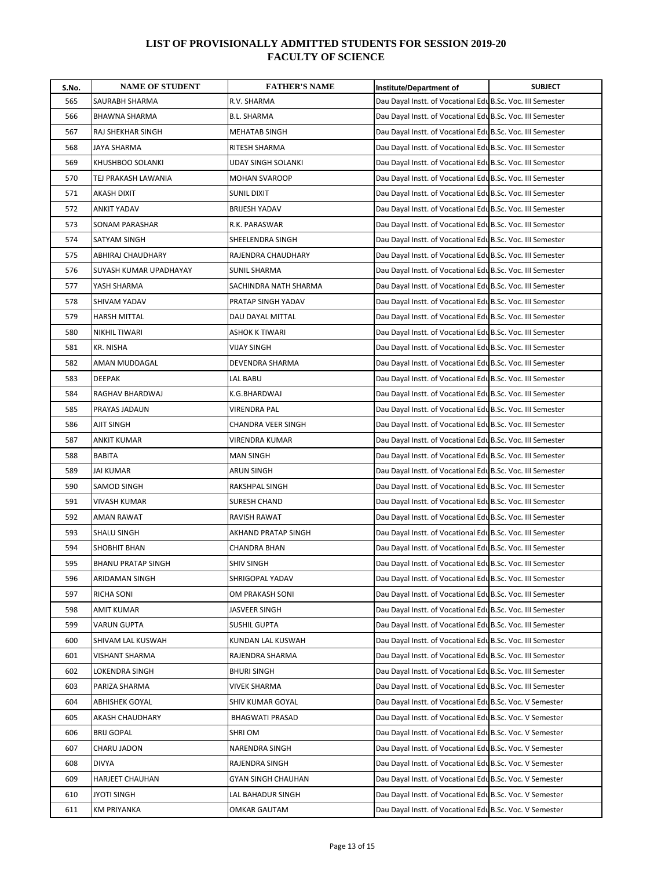| S.No. | <b>NAME OF STUDENT</b>    | <b>FATHER'S NAME</b>      | Institute/Department of                                    | <b>SUBJECT</b> |
|-------|---------------------------|---------------------------|------------------------------------------------------------|----------------|
| 565   | SAURABH SHARMA            | R.V. SHARMA               | Dau Dayal Instt. of Vocational Edu B.Sc. Voc. III Semester |                |
| 566   | <b>BHAWNA SHARMA</b>      | <b>B.L. SHARMA</b>        | Dau Dayal Instt. of Vocational Edu B.Sc. Voc. III Semester |                |
| 567   | RAJ SHEKHAR SINGH         | MEHATAB SINGH             | Dau Dayal Instt. of Vocational Edu B.Sc. Voc. III Semester |                |
| 568   | JAYA SHARMA               | RITESH SHARMA             | Dau Dayal Instt. of Vocational Edu B.Sc. Voc. III Semester |                |
| 569   | KHUSHBOO SOLANKI          | <b>UDAY SINGH SOLANKI</b> | Dau Dayal Instt. of Vocational Edu B.Sc. Voc. III Semester |                |
| 570   | TEJ PRAKASH LAWANIA       | <b>MOHAN SVAROOP</b>      | Dau Dayal Instt. of Vocational Edu B.Sc. Voc. III Semester |                |
| 571   | AKASH DIXIT               | SUNIL DIXIT               | Dau Dayal Instt. of Vocational Edu B.Sc. Voc. III Semester |                |
| 572   | ANKIT YADAV               | <b>BRIJESH YADAV</b>      | Dau Dayal Instt. of Vocational Edu B.Sc. Voc. III Semester |                |
| 573   | <b>SONAM PARASHAR</b>     | R.K. PARASWAR             | Dau Dayal Instt. of Vocational Edu B.Sc. Voc. III Semester |                |
| 574   | SATYAM SINGH              | SHEELENDRA SINGH          | Dau Dayal Instt. of Vocational Edu B.Sc. Voc. III Semester |                |
| 575   | ABHIRAJ CHAUDHARY         | RAJENDRA CHAUDHARY        | Dau Dayal Instt. of Vocational Edu B.Sc. Voc. III Semester |                |
| 576   | SUYASH KUMAR UPADHAYAY    | SUNIL SHARMA              | Dau Dayal Instt. of Vocational Edu B.Sc. Voc. III Semester |                |
| 577   | YASH SHARMA               | SACHINDRA NATH SHARMA     | Dau Dayal Instt. of Vocational Edu B.Sc. Voc. III Semester |                |
| 578   | SHIVAM YADAV              | PRATAP SINGH YADAV        | Dau Dayal Instt. of Vocational Edu B.Sc. Voc. III Semester |                |
| 579   | <b>HARSH MITTAL</b>       | DAU DAYAL MITTAL          | Dau Dayal Instt. of Vocational Edu B.Sc. Voc. III Semester |                |
| 580   | NIKHIL TIWARI             | <b>ASHOK K TIWARI</b>     | Dau Dayal Instt. of Vocational Edu B.Sc. Voc. III Semester |                |
| 581   | KR. NISHA                 | VIJAY SINGH               | Dau Dayal Instt. of Vocational Edu B.Sc. Voc. III Semester |                |
| 582   | AMAN MUDDAGAL             | DEVENDRA SHARMA           | Dau Dayal Instt. of Vocational Edu B.Sc. Voc. III Semester |                |
| 583   | <b>DEEPAK</b>             | LAL BABU                  | Dau Dayal Instt. of Vocational Edu B.Sc. Voc. III Semester |                |
| 584   | RAGHAV BHARDWAJ           | K.G.BHARDWAJ              | Dau Dayal Instt. of Vocational Edu B.Sc. Voc. III Semester |                |
| 585   | PRAYAS JADAUN             | VIRENDRA PAL              | Dau Dayal Instt. of Vocational Edu B.Sc. Voc. III Semester |                |
| 586   | AJIT SINGH                | CHANDRA VEER SINGH        | Dau Dayal Instt. of Vocational Edu B.Sc. Voc. III Semester |                |
| 587   | ANKIT KUMAR               | VIRENDRA KUMAR            | Dau Dayal Instt. of Vocational Edu B.Sc. Voc. III Semester |                |
| 588   | <b>BABITA</b>             | <b>MAN SINGH</b>          | Dau Dayal Instt. of Vocational Edu B.Sc. Voc. III Semester |                |
| 589   | <b>JAI KUMAR</b>          | <b>ARUN SINGH</b>         | Dau Dayal Instt. of Vocational Edu B.Sc. Voc. III Semester |                |
| 590   | SAMOD SINGH               | RAKSHPAL SINGH            | Dau Dayal Instt. of Vocational Edu B.Sc. Voc. III Semester |                |
| 591   | VIVASH KUMAR              | SURESH CHAND              | Dau Dayal Instt. of Vocational Edu B.Sc. Voc. III Semester |                |
| 592   | AMAN RAWAT                | <b>RAVISH RAWAT</b>       | Dau Dayal Instt. of Vocational Edu B.Sc. Voc. III Semester |                |
| 593   | SHALU SINGH               | AKHAND PRATAP SINGH       | Dau Dayal Instt. of Vocational Edu B.Sc. Voc. III Semester |                |
| 594   | SHOBHIT BHAN              | CHANDRA BHAN              | Dau Dayal Instt. of Vocational Edu B.Sc. Voc. III Semester |                |
| 595   | <b>BHANU PRATAP SINGH</b> | SHIV SINGH                | Dau Dayal Instt. of Vocational Edu B.Sc. Voc. III Semester |                |
| 596   | ARIDAMAN SINGH            | SHRIGOPAL YADAV           | Dau Dayal Instt. of Vocational Edu B.Sc. Voc. III Semester |                |
| 597   | RICHA SONI                | OM PRAKASH SONI           | Dau Dayal Instt. of Vocational Edu B.Sc. Voc. III Semester |                |
| 598   | AMIT KUMAR                | JASVEER SINGH             | Dau Dayal Instt. of Vocational Edu B.Sc. Voc. III Semester |                |
| 599   | VARUN GUPTA               | <b>SUSHIL GUPTA</b>       | Dau Dayal Instt. of Vocational Edu B.Sc. Voc. III Semester |                |
| 600   | SHIVAM LAL KUSWAH         | KUNDAN LAL KUSWAH         | Dau Dayal Instt. of Vocational Edu B.Sc. Voc. III Semester |                |
| 601   | <b>VISHANT SHARMA</b>     | RAJENDRA SHARMA           | Dau Dayal Instt. of Vocational Edu B.Sc. Voc. III Semester |                |
| 602   | LOKENDRA SINGH            | <b>BHURI SINGH</b>        | Dau Dayal Instt. of Vocational Edu B.Sc. Voc. III Semester |                |
| 603   | PARIZA SHARMA             | VIVEK SHARMA              | Dau Dayal Instt. of Vocational Edu B.Sc. Voc. III Semester |                |
| 604   | ABHISHEK GOYAL            | SHIV KUMAR GOYAL          | Dau Dayal Instt. of Vocational Edu B.Sc. Voc. V Semester   |                |
| 605   | AKASH CHAUDHARY           | <b>BHAGWATI PRASAD</b>    | Dau Dayal Instt. of Vocational Edu B.Sc. Voc. V Semester   |                |
| 606   | <b>BRIJ GOPAL</b>         | SHRI OM                   | Dau Dayal Instt. of Vocational Edu B.Sc. Voc. V Semester   |                |
| 607   | CHARU JADON               | NARENDRA SINGH            | Dau Dayal Instt. of Vocational Edu B.Sc. Voc. V Semester   |                |
| 608   | <b>DIVYA</b>              | RAJENDRA SINGH            | Dau Dayal Instt. of Vocational Edu B.Sc. Voc. V Semester   |                |
| 609   | <b>HARJEET CHAUHAN</b>    | GYAN SINGH CHAUHAN        | Dau Dayal Instt. of Vocational Edu B.Sc. Voc. V Semester   |                |
| 610   | <b>JYOTI SINGH</b>        | LAL BAHADUR SINGH         | Dau Dayal Instt. of Vocational Edu B.Sc. Voc. V Semester   |                |
| 611   | <b>KM PRIYANKA</b>        | OMKAR GAUTAM              | Dau Dayal Instt. of Vocational Edu B.Sc. Voc. V Semester   |                |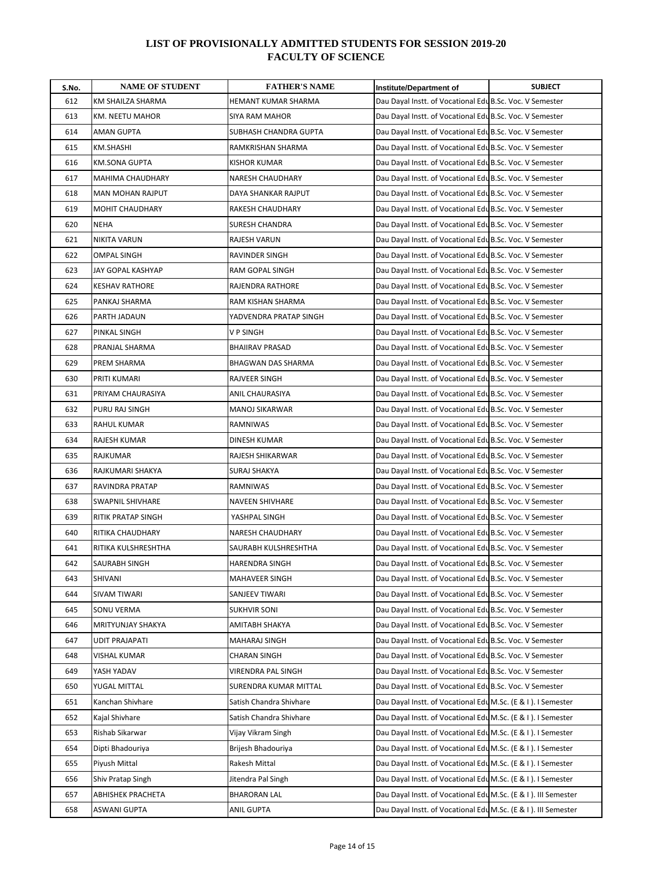| S.No. | <b>NAME OF STUDENT</b>    | <b>FATHER'S NAME</b>    | Institute/Department of                                         | <b>SUBJECT</b> |
|-------|---------------------------|-------------------------|-----------------------------------------------------------------|----------------|
| 612   | KM SHAILZA SHARMA         | HEMANT KUMAR SHARMA     | Dau Dayal Instt. of Vocational Edu B.Sc. Voc. V Semester        |                |
| 613   | KM. NEETU MAHOR           | SIYA RAM MAHOR          | Dau Dayal Instt. of Vocational Edu B.Sc. Voc. V Semester        |                |
| 614   | AMAN GUPTA                | SUBHASH CHANDRA GUPTA   | Dau Dayal Instt. of Vocational Edu B.Sc. Voc. V Semester        |                |
| 615   | KM.SHASHI                 | RAMKRISHAN SHARMA       | Dau Dayal Instt. of Vocational Edu B.Sc. Voc. V Semester        |                |
| 616   | <b>KM.SONA GUPTA</b>      | <b>KISHOR KUMAR</b>     | Dau Dayal Instt. of Vocational Edu B.Sc. Voc. V Semester        |                |
| 617   | <b>MAHIMA CHAUDHARY</b>   | NARESH CHAUDHARY        | Dau Dayal Instt. of Vocational Edu B.Sc. Voc. V Semester        |                |
| 618   | MAN MOHAN RAJPUT          | DAYA SHANKAR RAJPUT     | Dau Dayal Instt. of Vocational Edu B.Sc. Voc. V Semester        |                |
| 619   | <b>MOHIT CHAUDHARY</b>    | RAKESH CHAUDHARY        | Dau Dayal Instt. of Vocational Edu B.Sc. Voc. V Semester        |                |
| 620   | <b>NEHA</b>               | SURESH CHANDRA          | Dau Dayal Instt. of Vocational Edu B.Sc. Voc. V Semester        |                |
| 621   | <b>NIKITA VARUN</b>       | RAJESH VARUN            | Dau Dayal Instt. of Vocational Edu B.Sc. Voc. V Semester        |                |
| 622   | <b>OMPAL SINGH</b>        | RAVINDER SINGH          | Dau Dayal Instt. of Vocational Edu B.Sc. Voc. V Semester        |                |
| 623   | JAY GOPAL KASHYAP         | RAM GOPAL SINGH         | Dau Dayal Instt. of Vocational Edu B.Sc. Voc. V Semester        |                |
| 624   | <b>KESHAV RATHORE</b>     | RAJENDRA RATHORE        | Dau Dayal Instt. of Vocational Edu B.Sc. Voc. V Semester        |                |
| 625   | PANKAJ SHARMA             | RAM KISHAN SHARMA       | Dau Dayal Instt. of Vocational Edu B.Sc. Voc. V Semester        |                |
| 626   | PARTH JADAUN              | YADVENDRA PRATAP SINGH  | Dau Dayal Instt. of Vocational Edu B.Sc. Voc. V Semester        |                |
| 627   | PINKAL SINGH              | V P SINGH               | Dau Dayal Instt. of Vocational Edu B.Sc. Voc. V Semester        |                |
| 628   | PRANJAL SHARMA            | <b>BHAIIRAV PRASAD</b>  | Dau Dayal Instt. of Vocational Edu B.Sc. Voc. V Semester        |                |
| 629   | PREM SHARMA               | BHAGWAN DAS SHARMA      | Dau Dayal Instt. of Vocational Edu B.Sc. Voc. V Semester        |                |
| 630   | PRITI KUMARI              | RAJVEER SINGH           | Dau Dayal Instt. of Vocational Edu B.Sc. Voc. V Semester        |                |
| 631   | PRIYAM CHAURASIYA         | <b>ANIL CHAURASIYA</b>  | Dau Dayal Instt. of Vocational Edu B.Sc. Voc. V Semester        |                |
| 632   | PURU RAJ SINGH            | <b>MANOJ SIKARWAR</b>   | Dau Dayal Instt. of Vocational Edu B.Sc. Voc. V Semester        |                |
| 633   | <b>RAHUL KUMAR</b>        | <b>RAMNIWAS</b>         | Dau Dayal Instt. of Vocational Edu B.Sc. Voc. V Semester        |                |
| 634   | RAJESH KUMAR              | DINESH KUMAR            | Dau Dayal Instt. of Vocational Edu B.Sc. Voc. V Semester        |                |
| 635   | RAJKUMAR                  | RAJESH SHIKARWAR        | Dau Dayal Instt. of Vocational Edu B.Sc. Voc. V Semester        |                |
| 636   | RAJKUMARI SHAKYA          | SURAJ SHAKYA            | Dau Dayal Instt. of Vocational Edu B.Sc. Voc. V Semester        |                |
| 637   | RAVINDRA PRATAP           | RAMNIWAS                | Dau Dayal Instt. of Vocational Edu B.Sc. Voc. V Semester        |                |
| 638   | <b>SWAPNIL SHIVHARE</b>   | NAVEEN SHIVHARE         | Dau Dayal Instt. of Vocational Edu B.Sc. Voc. V Semester        |                |
| 639   | <b>RITIK PRATAP SINGH</b> | YASHPAL SINGH           | Dau Dayal Instt. of Vocational Edu B.Sc. Voc. V Semester        |                |
| 640   | RITIKA CHAUDHARY          | <b>NARESH CHAUDHARY</b> | Dau Dayal Instt. of Vocational Edu B.Sc. Voc. V Semester        |                |
| 641   | RITIKA KULSHRESHTHA       | SAURABH KULSHRESHTHA    | Dau Dayal Instt. of Vocational Edu B.Sc. Voc. V Semester        |                |
| 642   | SAURABH SINGH             | <b>HARENDRA SINGH</b>   | Dau Dayal Instt. of Vocational Edu B.Sc. Voc. V Semester        |                |
| 643   | SHIVANI                   | MAHAVEER SINGH          | Dau Dayal Instt. of Vocational Edu B.Sc. Voc. V Semester        |                |
| 644   | SIVAM TIWARI              | SANJEEV TIWARI          | Dau Dayal Instt. of Vocational Edu B.Sc. Voc. V Semester        |                |
| 645   | SONU VERMA                | <b>SUKHVIR SONI</b>     | Dau Dayal Instt. of Vocational Edu B.Sc. Voc. V Semester        |                |
| 646   | MRITYUNJAY SHAKYA         | AMITABH SHAKYA          | Dau Dayal Instt. of Vocational Edu B.Sc. Voc. V Semester        |                |
| 647   | UDIT PRAJAPATI            | MAHARAJ SINGH           | Dau Dayal Instt. of Vocational Edu B.Sc. Voc. V Semester        |                |
| 648   | VISHAL KUMAR              | <b>CHARAN SINGH</b>     | Dau Dayal Instt. of Vocational Edu B.Sc. Voc. V Semester        |                |
| 649   | YASH YADAV                | VIRENDRA PAL SINGH      | Dau Dayal Instt. of Vocational Edu B.Sc. Voc. V Semester        |                |
| 650   | YUGAL MITTAL              | SURENDRA KUMAR MITTAL   | Dau Dayal Instt. of Vocational Edu B.Sc. Voc. V Semester        |                |
| 651   | Kanchan Shivhare          | Satish Chandra Shivhare | Dau Dayal Instt. of Vocational Edu M.Sc. (E & I ). I Semester   |                |
| 652   | Kajal Shivhare            | Satish Chandra Shivhare | Dau Dayal Instt. of Vocational Edu M.Sc. (E & I ). I Semester   |                |
| 653   | Rishab Sikarwar           | Vijay Vikram Singh      | Dau Dayal Instt. of Vocational Edu M.Sc. (E & I). I Semester    |                |
| 654   | Dipti Bhadouriya          | Brijesh Bhadouriya      | Dau Dayal Instt. of Vocational Edu M.Sc. (E & I ). I Semester   |                |
| 655   | Piyush Mittal             | Rakesh Mittal           | Dau Dayal Instt. of Vocational Edu M.Sc. (E & I ). I Semester   |                |
| 656   | Shiv Pratap Singh         | Jitendra Pal Singh      | Dau Dayal Instt. of Vocational Edu M.Sc. (E & I ). I Semester   |                |
| 657   | <b>ABHISHEK PRACHETA</b>  | <b>BHARORAN LAL</b>     | Dau Dayal Instt. of Vocational Edu M.Sc. (E & I ). III Semester |                |
| 658   | ASWANI GUPTA              | ANIL GUPTA              | Dau Dayal Instt. of Vocational Edu M.Sc. (E & I ). III Semester |                |